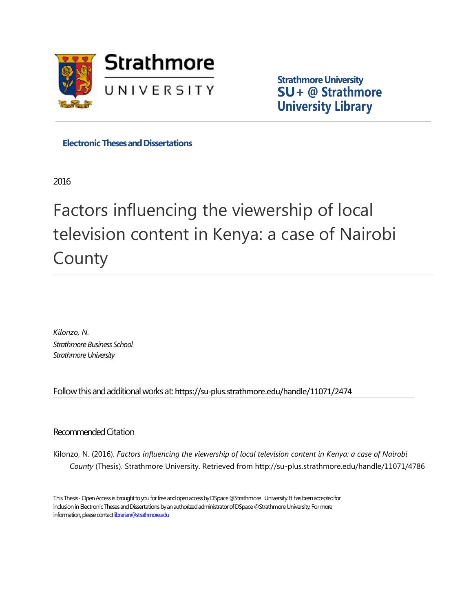

**Strathmore University SU+ [@](https://su-plus.strathmore.edu/handle/11071/2474) Strathmore University Library**

**Electronic Theses and Dissertations** 

2016

# Factors influencing the viewership of local television content in Kenya: a case of Nairobi County

*Kilonzo, N. Strathmore Business School*  Strathmore University

Follow this and additional works at: https://su-plus.strathmore.edu/handle/11071/2474

## Recommended Citation

Kilonzo, N. (2016). *Factors influencing the viewership of local television content in Kenya: a case of Nairobi County* (Thesis). Strathmore University. Retrieved from http://su-plus.strathmore.edu/handle/11071/4786

This Thesis - Open Access is brought to you for free and open access by DSpace @Strathmore University. It has been accepted for inclusion in Electronic Theses and Dissertations by an authorized administrator of DSpace @Strathmore University. For more information, please contact librarian@strathmore.edu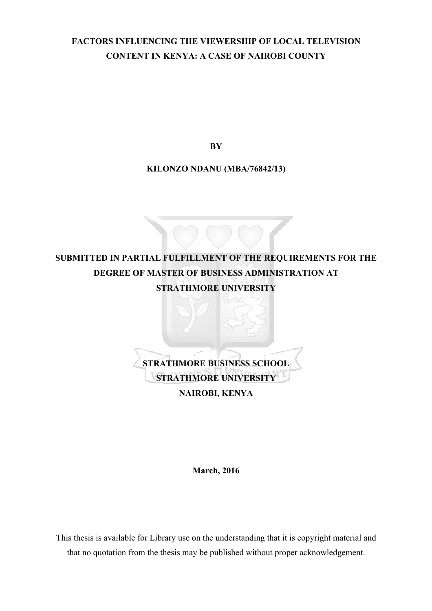# **FACTORS INFLUENCING THE VIEWERSHIP OF LOCAL TELEVISION CONTENT IN KENYA: A CASE OF NAIROBI COUNTY**

**BY**

**KILONZO NDANU (MBA/76842/13)**



**March, 2016**

This thesis is available for Library use on the understanding that it is copyright material and that no quotation from the thesis may be published without proper acknowledgement.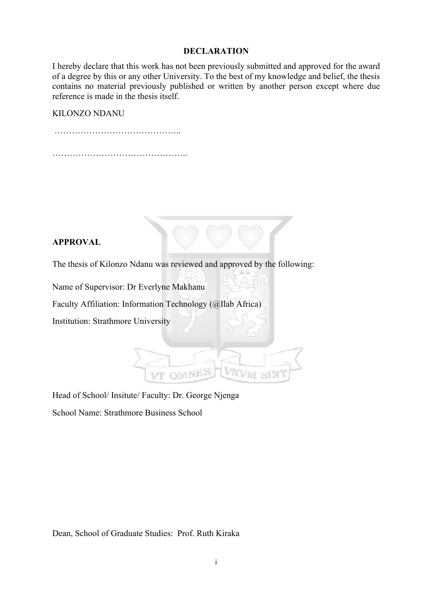#### **DECLARATION**

I hereby declare that this work has not been previously submitted and approved for the award of a degree by this or any other University. To the best of my knowledge and belief, the thesis contains no material previously published or written by another person except where due reference is made in the thesis itself.

#### KILONZO NDANU

…………………………………….. ………………………………………..

## **APPROVAL**

The thesis of Kilonzo Ndanu was reviewed and approved by the following:

Name of Supervisor: Dr Everlyne Makhanu

Faculty Affiliation: Information Technology (@Ilab Africa)

Institution: Strathmore University

# Head of School/ Insitute/ Faculty: Dr. George Njenga

School Name: Strathmore Business School

Dean, School of Graduate Studies: Prof. Ruth Kiraka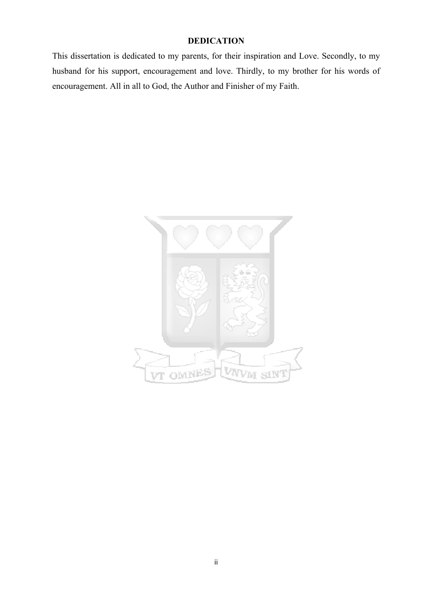# **DEDICATION**

This dissertation is dedicated to my parents, for their inspiration and Love. Secondly, to my husband for his support, encouragement and love. Thirdly, to my brother for his words of encouragement. All in all to God, the Author and Finisher of my Faith.

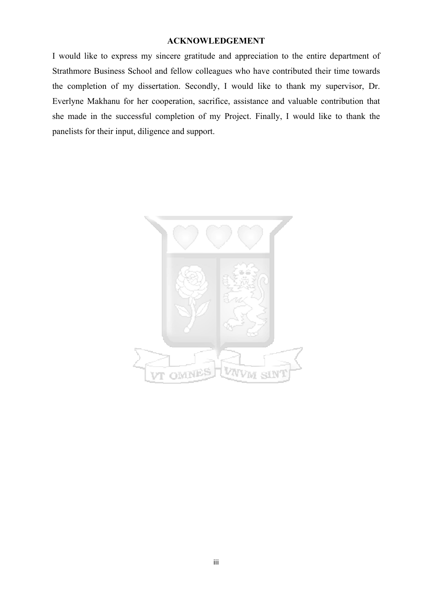#### **ACKNOWLEDGEMENT**

I would like to express my sincere gratitude and appreciation to the entire department of Strathmore Business School and fellow colleagues who have contributed their time towards the completion of my dissertation. Secondly, I would like to thank my supervisor, Dr. Everlyne Makhanu for her cooperation, sacrifice, assistance and valuable contribution that she made in the successful completion of my Project. Finally, I would like to thank the panelists for their input, diligence and support.

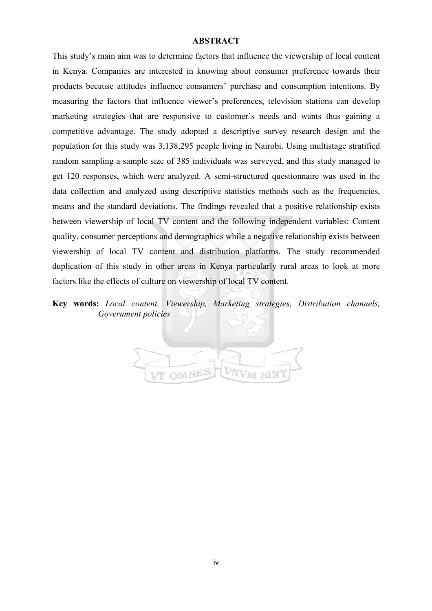#### **ABSTRACT**

This study's main aim was to determine factors that influence the viewership of local content in Kenya. Companies are interested in knowing about consumer preference towards their products because attitudes influence consumers' purchase and consumption intentions. By measuring the factors that influence viewer's preferences, television stations can develop marketing strategies that are responsive to customer's needs and wants thus gaining a competitive advantage. The study adopted a descriptive survey research design and the population for this study was 3,138,295 people living in Nairobi. Using multistage stratified random sampling a sample size of 385 individuals was surveyed, and this study managed to get 120 responses, which were analyzed. A semi-structured questionnaire was used in the data collection and analyzed using descriptive statistics methods such as the frequencies, means and the standard deviations. The findings revealed that a positive relationship exists between viewership of local TV content and the following independent variables: Content quality, consumer perceptions and demographics while a negative relationship exists between viewership of local TV content and distribution platforms. The study recommended duplication of this study in other areas in Kenya particularly rural areas to look at more factors like the effects of culture on viewership of local TV content.

**Key words:** *Local content, Viewership, Marketing strategies, Distribution channels, Government policies*

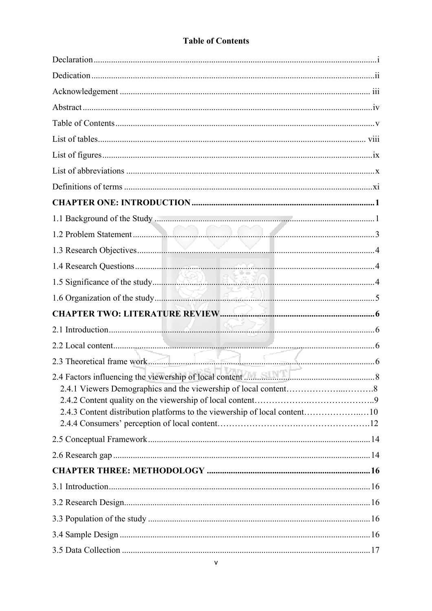# **Table of Contents**

| $\left(\begin{array}{ccc}\n& & \\ & \n& \n& \\ & \n& \n& \n\end{array}\right)$ |    |
|--------------------------------------------------------------------------------|----|
| 2.4 Factors influencing the viewership of local content                        | .8 |
|                                                                                |    |
| 2.4.3 Content distribution platforms to the viewership of local content10      |    |
|                                                                                |    |
|                                                                                |    |
|                                                                                |    |
|                                                                                |    |
|                                                                                |    |
|                                                                                |    |
|                                                                                |    |
|                                                                                |    |
|                                                                                |    |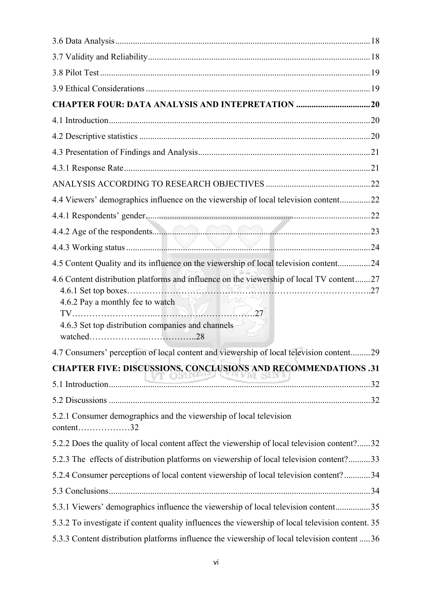| <b>CHAPTER FOUR: DATA ANALYSIS AND INTEPRETATION 20</b>                                                                                                                           |  |
|-----------------------------------------------------------------------------------------------------------------------------------------------------------------------------------|--|
|                                                                                                                                                                                   |  |
|                                                                                                                                                                                   |  |
|                                                                                                                                                                                   |  |
|                                                                                                                                                                                   |  |
|                                                                                                                                                                                   |  |
| 4.4 Viewers' demographics influence on the viewership of local television content22                                                                                               |  |
|                                                                                                                                                                                   |  |
|                                                                                                                                                                                   |  |
|                                                                                                                                                                                   |  |
| 4.5 Content Quality and its influence on the viewership of local television content24                                                                                             |  |
| 4.6 Content distribution platforms and influence on the viewership of local TV content27<br>4.6.2 Pay a monthly fee to watch<br>4.6.3 Set top distribution companies and channels |  |
| 4.7 Consumers' perception of local content and viewership of local television content29                                                                                           |  |
| <b>CHAPTER FIVE: DISCUSSIONS, CONCLUSIONS AND RECOMMENDATIONS .31</b>                                                                                                             |  |
|                                                                                                                                                                                   |  |
|                                                                                                                                                                                   |  |
| 5.2.1 Consumer demographics and the viewership of local television<br>$content$ 32                                                                                                |  |
| 5.2.2 Does the quality of local content affect the viewership of local television content?32                                                                                      |  |
| 5.2.3 The effects of distribution platforms on viewership of local television content?33                                                                                          |  |
| 5.2.4 Consumer perceptions of local content viewership of local television content?34                                                                                             |  |
|                                                                                                                                                                                   |  |
| 5.3.1 Viewers' demographics influence the viewership of local television content35                                                                                                |  |
| 5.3.2 To investigate if content quality influences the viewership of local television content. 35                                                                                 |  |
| 5.3.3 Content distribution platforms influence the viewership of local television content  36                                                                                     |  |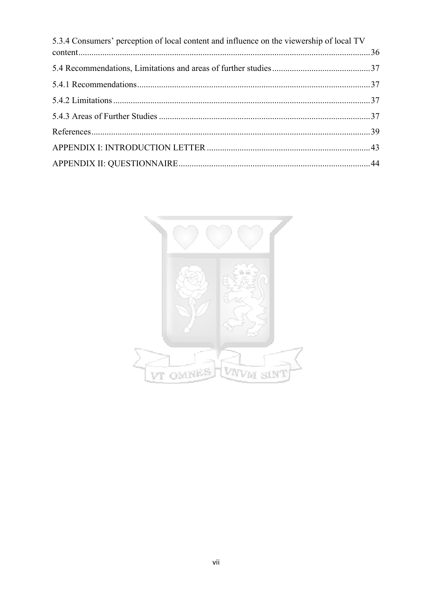| 5.3.4 Consumers' perception of local content and influence on the viewership of local TV |  |
|------------------------------------------------------------------------------------------|--|
|                                                                                          |  |
|                                                                                          |  |
|                                                                                          |  |
|                                                                                          |  |
|                                                                                          |  |
|                                                                                          |  |
|                                                                                          |  |
|                                                                                          |  |

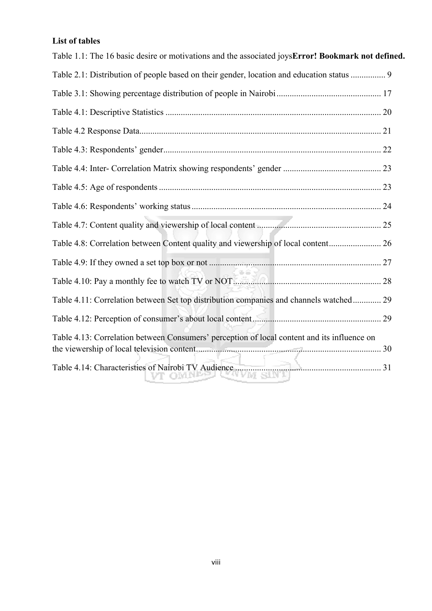# **List of tables**

| Table 1.1: The 16 basic desire or motivations and the associated joysError! Bookmark not defined. |  |
|---------------------------------------------------------------------------------------------------|--|
| Table 2.1: Distribution of people based on their gender, location and education status  9         |  |
|                                                                                                   |  |
|                                                                                                   |  |
|                                                                                                   |  |
|                                                                                                   |  |
|                                                                                                   |  |
|                                                                                                   |  |
|                                                                                                   |  |
|                                                                                                   |  |
|                                                                                                   |  |
|                                                                                                   |  |
|                                                                                                   |  |
| Table 4.11: Correlation between Set top distribution companies and channels watched 29            |  |
|                                                                                                   |  |
| Table 4.13: Correlation between Consumers' perception of local content and its influence on       |  |
|                                                                                                   |  |
| Table 4.14: Characteristies of Nairobi TV Audience                                                |  |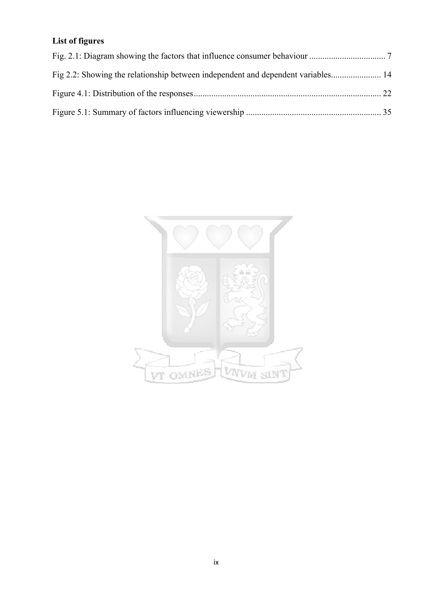# **List of figures**

| Fig 2.2: Showing the relationship between independent and dependent variables 14 |  |
|----------------------------------------------------------------------------------|--|
|                                                                                  |  |
|                                                                                  |  |

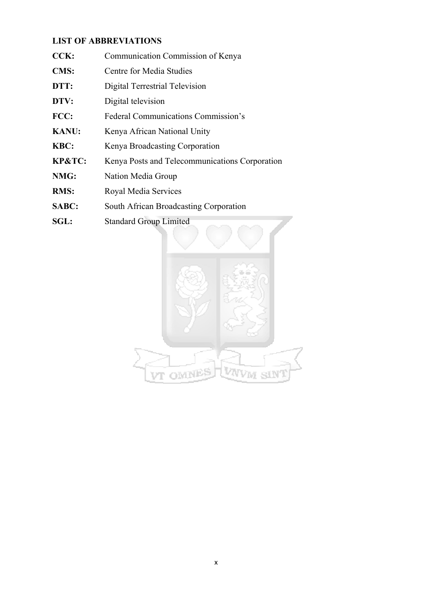## **LIST OF ABBREVIATIONS**

- **CCK:** Communication Commission of Kenya
- **CMS:** Centre for Media Studies
- **DTT:** Digital Terrestrial Television
- **DTV:** Digital television
- **FCC:** Federal Communications Commission's
- **KANU:** Kenya African National Unity
- **KBC:** Kenya Broadcasting Corporation
- **KP&TC:** Kenya Posts and Telecommunications Corporation
- **NMG:** Nation Media Group
- **RMS:** Royal Media Services
- **SABC:** South African Broadcasting Corporation
- **SGL:** Standard Group Limited

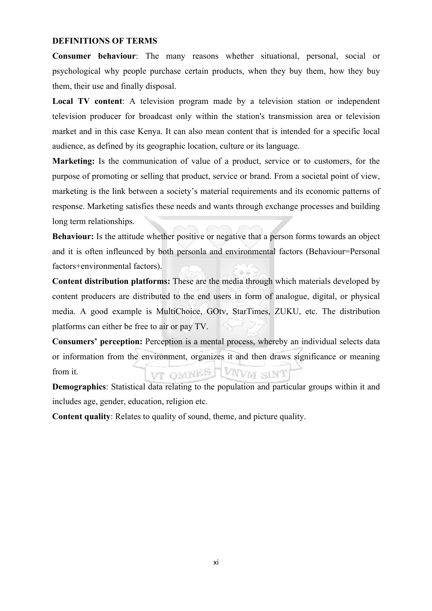#### **DEFINITIONS OF TERMS**

**Consumer behaviour**: The many reasons whether situational, personal, social or psychological why people purchase certain products, when they buy them, how they buy them, their use and finally disposal.

**Local TV content**: A television program made by a television station or independent television producer for broadcast only within the station's transmission area or television market and in this case Kenya. It can also mean content that is intended for a specific local audience, as defined by its geographic location, culture or its language.

**Marketing:** Is the communication of value of a product, service or to customers, for the purpose of promoting or selling that product, service or brand. From a societal point of view, marketing is the link between a society's material requirements and its economic patterns of response. Marketing satisfies these needs and wants through exchange processes and building long term relationships.

**Behaviour:** Is the attitude whether positive or negative that a person forms towards an object and it is often infleunced by both personla and environmental factors (Behaviour=Personal factors+environmental factors).

**Content distribution platforms:** These are the media through which materials developed by content producers are distributed to the end users in form of analogue, digital, or physical media. A good example is MultiChoice, GOtv, StarTimes, ZUKU, etc. The distribution platforms can either be free to air or pay TV.

**Consumers' perception:** Perception is a mental process, whereby an individual selects data or information from the environment, organizes it and then draws significance or meaning VT OWNES WAVW SINT from it.

**Demographics**: Statistical data relating to the population and particular groups within it and includes age, gender, education, religion etc.

**Content quality**: Relates to quality of sound, theme, and picture quality.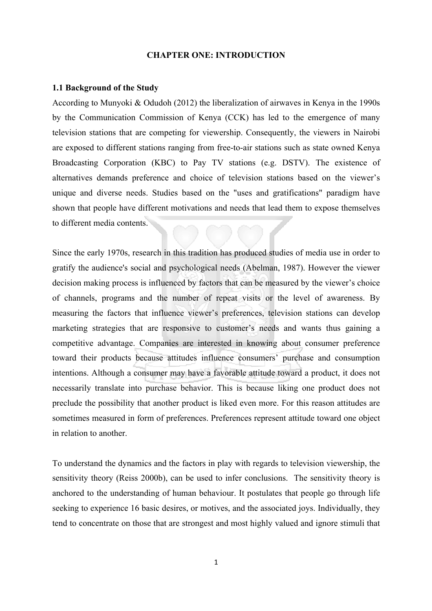#### **CHAPTER ONE: INTRODUCTION**

#### **1.1 Background of the Study**

According to Munyoki & Odudoh (2012) the liberalization of airwaves in Kenya in the 1990s by the Communication Commission of Kenya (CCK) has led to the emergence of many television stations that are competing for viewership. Consequently, the viewers in Nairobi are exposed to different stations ranging from free-to-air stations such as state owned Kenya Broadcasting Corporation (KBC) to Pay TV stations (e.g. DSTV). The existence of alternatives demands preference and choice of television stations based on the viewer's unique and diverse needs. Studies based on the "uses and gratifications" paradigm have shown that people have different motivations and needs that lead them to expose themselves to different media contents.

Since the early 1970s, research in this tradition has produced studies of media use in order to gratify the audience's social and psychological needs (Abelman, 1987). However the viewer decision making process is influenced by factors that can be measured by the viewer's choice of channels, programs and the number of repeat visits or the level of awareness. By measuring the factors that influence viewer's preferences, television stations can develop marketing strategies that are responsive to customer's needs and wants thus gaining a competitive advantage. Companies are interested in knowing about consumer preference toward their products because attitudes influence consumers' purchase and consumption intentions. Although a consumer may have a favorable attitude toward a product, it does not necessarily translate into purchase behavior. This is because liking one product does not preclude the possibility that another product is liked even more. For this reason attitudes are sometimes measured in form of preferences. Preferences represent attitude toward one object in relation to another.

To understand the dynamics and the factors in play with regards to television viewership, the sensitivity theory (Reiss 2000b), can be used to infer conclusions. The sensitivity theory is anchored to the understanding of human behaviour. It postulates that people go through life seeking to experience 16 basic desires, or motives, and the associated joys. Individually, they tend to concentrate on those that are strongest and most highly valued and ignore stimuli that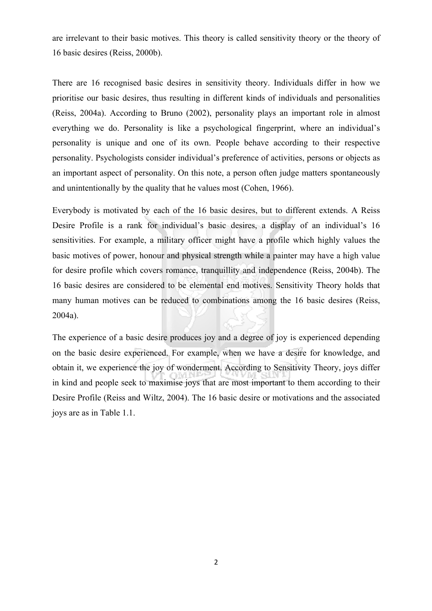are irrelevant to their basic motives. This theory is called sensitivity theory or the theory of 16 basic desires (Reiss, 2000b).

There are 16 recognised basic desires in sensitivity theory. Individuals differ in how we prioritise our basic desires, thus resulting in different kinds of individuals and personalities (Reiss, 2004a). According to Bruno (2002), personality plays an important role in almost everything we do. Personality is like a psychological fingerprint, where an individual's personality is unique and one of its own. People behave according to their respective personality. Psychologists consider individual's preference of activities, persons or objects as an important aspect of personality. On this note, a person often judge matters spontaneously and unintentionally by the quality that he values most (Cohen, 1966).

Everybody is motivated by each of the 16 basic desires, but to different extends. A Reiss Desire Profile is a rank for individual's basic desires, a display of an individual's 16 sensitivities. For example, a military officer might have a profile which highly values the basic motives of power, honour and physical strength while a painter may have a high value for desire profile which covers romance, tranquillity and independence (Reiss, 2004b). The 16 basic desires are considered to be elemental end motives. Sensitivity Theory holds that many human motives can be reduced to combinations among the 16 basic desires (Reiss, 2004a).

The experience of a basic desire produces joy and a degree of joy is experienced depending on the basic desire experienced. For example, when we have a desire for knowledge, and obtain it, we experience the joy of wonderment. According to Sensitivity Theory, joys differ in kind and people seek to maximise joys that are most important to them according to their Desire Profile (Reiss and Wiltz, 2004). The 16 basic desire or motivations and the associated joys are as in Table 1.1.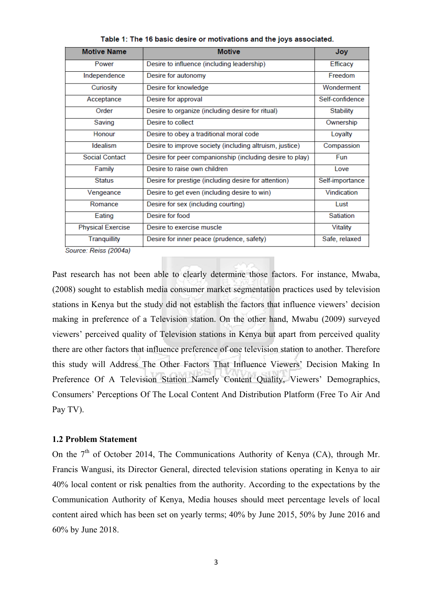| <b>Motive Name</b>       | <b>Motive</b>                                            | Joy              |
|--------------------------|----------------------------------------------------------|------------------|
| Power                    | Desire to influence (including leadership)               | Efficacy         |
| Independence             | Desire for autonomy                                      | Freedom          |
| Curiosity                | Desire for knowledge                                     | Wonderment       |
| Acceptance               | Desire for approval                                      | Self-confidence  |
| Order                    | Desire to organize (including desire for ritual)         | <b>Stability</b> |
| Saving                   | Desire to collect                                        | Ownership        |
| Honour                   | Desire to obey a traditional moral code                  | Loyalty          |
| Idealism                 | Desire to improve society (including altruism, justice)  | Compassion       |
| <b>Social Contact</b>    | Desire for peer companionship (including desire to play) | Fun              |
| Family                   | Desire to raise own children                             | Love             |
| <b>Status</b>            | Desire for prestige (including desire for attention)     | Self-importance  |
| Vengeance                | Desire to get even (including desire to win)             | Vindication      |
| Romance                  | Desire for sex (including courting)                      | Lust             |
| Eating                   | Desire for food                                          | Satiation        |
| <b>Physical Exercise</b> | Desire to exercise muscle                                | <b>Vitality</b>  |
| <b>Tranquillity</b>      | Desire for inner peace (prudence, safety)                | Safe, relaxed    |
| Source: Reiss (2004a)    |                                                          |                  |

Table 1: The 16 basic desire or motivations and the joys associated.

Past research has not been able to clearly determine those factors. For instance, Mwaba, (2008) sought to establish media consumer market segmentation practices used by television stations in Kenya but the study did not establish the factors that influence viewers' decision making in preference of a Television station. On the other hand, Mwabu (2009) surveyed viewers' perceived quality of Television stations in Kenya but apart from perceived quality there are other factors that influence preference of one television station to another. Therefore this study will Address The Other Factors That Influence Viewers' Decision Making In Preference Of A Television Station Namely Content Quality, Viewers' Demographics, Consumers' Perceptions Of The Local Content And Distribution Platform (Free To Air And Pay TV).

#### **1.2 Problem Statement**

On the  $7<sup>th</sup>$  of October 2014, The Communications Authority of Kenya (CA), through Mr. Francis Wangusi, its Director General, directed television stations operating in Kenya to air 40% local content or risk penalties from the authority. According to the expectations by the Communication Authority of Kenya, Media houses should meet percentage levels of local content aired which has been set on yearly terms; 40% by June 2015, 50% by June 2016 and 60% by June 2018.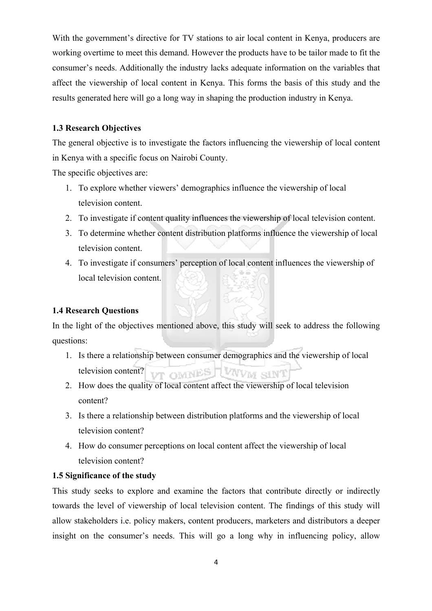With the government's directive for TV stations to air local content in Kenya, producers are working overtime to meet this demand. However the products have to be tailor made to fit the consumer's needs. Additionally the industry lacks adequate information on the variables that affect the viewership of local content in Kenya. This forms the basis of this study and the results generated here will go a long way in shaping the production industry in Kenya.

### **1.3 Research Objectives**

The general objective is to investigate the factors influencing the viewership of local content in Kenya with a specific focus on Nairobi County.

The specific objectives are:

- 1. To explore whether viewers' demographics influence the viewership of local television content.
- 2. To investigate if content quality influences the viewership of local television content.
- 3. To determine whether content distribution platforms influence the viewership of local television content.
- 4. To investigate if consumers' perception of local content influences the viewership of local television content.

#### **1.4 Research Questions**

In the light of the objectives mentioned above, this study will seek to address the following questions:

- 1. Is there a relationship between consumer demographics and the viewership of local television content? UT OMNES WAVW SINT
- 2. How does the quality of local content affect the viewership of local television content?
- 3. Is there a relationship between distribution platforms and the viewership of local television content?
- 4. How do consumer perceptions on local content affect the viewership of local television content?

## **1.5 Significance of the study**

This study seeks to explore and examine the factors that contribute directly or indirectly towards the level of viewership of local television content. The findings of this study will allow stakeholders i.e. policy makers, content producers, marketers and distributors a deeper insight on the consumer's needs. This will go a long why in influencing policy, allow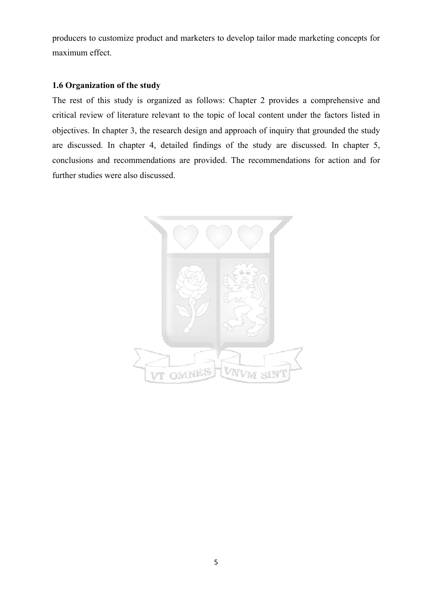producers to customize product and marketers to develop tailor made marketing concepts for maximum effect.

#### **1.6 Organization of the study**

The rest of this study is organized as follows: Chapter 2 provides a comprehensive and critical review of literature relevant to the topic of local content under the factors listed in objectives. In chapter 3, the research design and approach of inquiry that grounded the study are discussed. In chapter 4, detailed findings of the study are discussed. In chapter 5, conclusions and recommendations are provided. The recommendations for action and for further studies were also discussed.

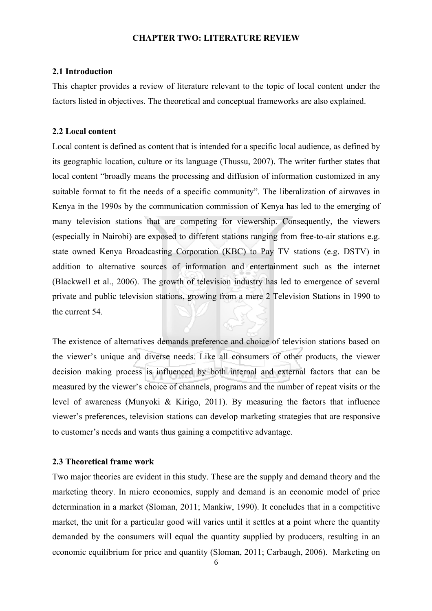#### **CHAPTER TWO: LITERATURE REVIEW**

#### **2.1 Introduction**

This chapter provides a review of literature relevant to the topic of local content under the factors listed in objectives. The theoretical and conceptual frameworks are also explained.

#### **2.2 Local content**

Local content is defined as content that is intended for a specific local audience, as defined by its geographic location, culture or its language (Thussu, 2007). The writer further states that local content "broadly means the processing and diffusion of information customized in any suitable format to fit the needs of a specific community". The liberalization of airwaves in Kenya in the 1990s by the communication commission of Kenya has led to the emerging of many television stations that are competing for viewership. Consequently, the viewers (especially in Nairobi) are exposed to different stations ranging from free-to-air stations e.g. state owned Kenya Broadcasting Corporation (KBC) to Pay TV stations (e.g. DSTV) in addition to alternative sources of information and entertainment such as the internet (Blackwell et al., 2006). The growth of television industry has led to emergence of several private and public television stations, growing from a mere 2 Television Stations in 1990 to the current 54.

The existence of alternatives demands preference and choice of television stations based on the viewer's unique and diverse needs. Like all consumers of other products, the viewer decision making process is influenced by both internal and external factors that can be measured by the viewer's choice of channels, programs and the number of repeat visits or the level of awareness (Munyoki & Kirigo, 2011). By measuring the factors that influence viewer's preferences, television stations can develop marketing strategies that are responsive to customer's needs and wants thus gaining a competitive advantage.

#### **2.3 Theoretical frame work**

Two major theories are evident in this study. These are the supply and demand theory and the marketing theory. In micro economics, supply and demand is an economic model of price determination in a market (Sloman, 2011; Mankiw, 1990). It concludes that in a competitive market, the unit for a particular good will varies until it settles at a point where the quantity demanded by the consumers will equal the quantity supplied by producers, resulting in an economic equilibrium for price and quantity (Sloman, 2011; Carbaugh, 2006). Marketing on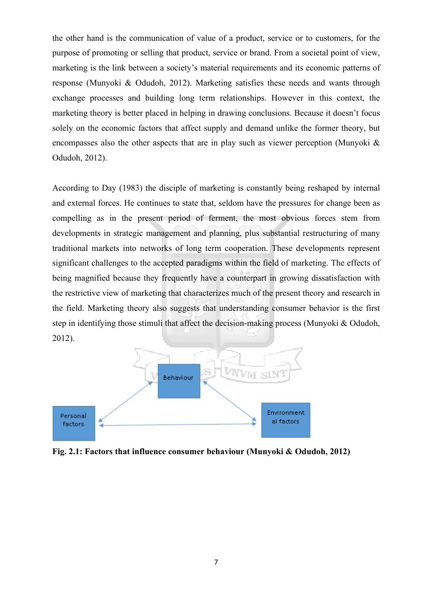the other hand is the communication of value of a product, service or to customers, for the purpose of promoting or selling that product, service or brand. From a societal point of view, marketing is the link between a society's material requirements and its economic patterns of response (Munyoki & Odudoh, 2012). Marketing satisfies these needs and wants through exchange processes and building long term relationships. However in this context, the marketing theory is better placed in helping in drawing conclusions. Because it doesn't focus solely on the economic factors that affect supply and demand unlike the former theory, but encompasses also the other aspects that are in play such as viewer perception (Munyoki  $\&$ Odudoh, 2012).

According to Day (1983) the disciple of marketing is constantly being reshaped by internal and external forces. He continues to state that, seldom have the pressures for change been as compelling as in the present period of ferment, the most obvious forces stem from developments in strategic management and planning, plus substantial restructuring of many traditional markets into networks of long term cooperation. These developments represent significant challenges to the accepted paradigms within the field of marketing. The effects of being magnified because they frequently have a counterpart in growing dissatisfaction with the restrictive view of marketing that characterizes much of the present theory and research in the field. Marketing theory also suggests that understanding consumer behavior is the first step in identifying those stimuli that affect the decision-making process (Munyoki & Odudoh, 2012).



**Fig. 2.1: Factors that influence consumer behaviour (Munyoki & Odudoh, 2012)**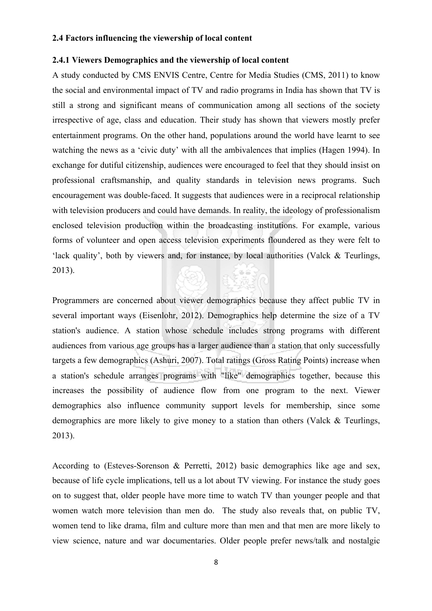#### **2.4 Factors influencing the viewership of local content**

### **2.4.1 Viewers Demographics and the viewership of local content**

A study conducted by CMS ENVIS Centre, Centre for Media Studies (CMS, 2011) to know the social and environmental impact of TV and radio programs in India has shown that TV is still a strong and significant means of communication among all sections of the society irrespective of age, class and education. Their study has shown that viewers mostly prefer entertainment programs. On the other hand, populations around the world have learnt to see watching the news as a 'civic duty' with all the ambivalences that implies (Hagen 1994). In exchange for dutiful citizenship, audiences were encouraged to feel that they should insist on professional craftsmanship, and quality standards in television news programs. Such encouragement was double-faced. It suggests that audiences were in a reciprocal relationship with television producers and could have demands. In reality, the ideology of professionalism enclosed television production within the broadcasting institutions. For example, various forms of volunteer and open access television experiments floundered as they were felt to 'lack quality', both by viewers and, for instance, by local authorities (Valck & Teurlings, 2013).

Programmers are concerned about viewer demographics because they affect public TV in several important ways (Eisenlohr, 2012). Demographics help determine the size of a TV station's audience. A station whose schedule includes strong programs with different audiences from various age groups has a larger audience than a station that only successfully targets a few demographics (Ashuri, 2007). Total ratings (Gross Rating Points) increase when a station's schedule arranges programs with "like" demographics together, because this increases the possibility of audience flow from one program to the next. Viewer demographics also influence community support levels for membership, since some demographics are more likely to give money to a station than others (Valck & Teurlings, 2013).

According to (Esteves-Sorenson & Perretti, 2012) basic demographics like age and sex, because of life cycle implications, tell us a lot about TV viewing. For instance the study goes on to suggest that, older people have more time to watch TV than younger people and that women watch more television than men do. The study also reveals that, on public TV, women tend to like drama, film and culture more than men and that men are more likely to view science, nature and war documentaries. Older people prefer news/talk and nostalgic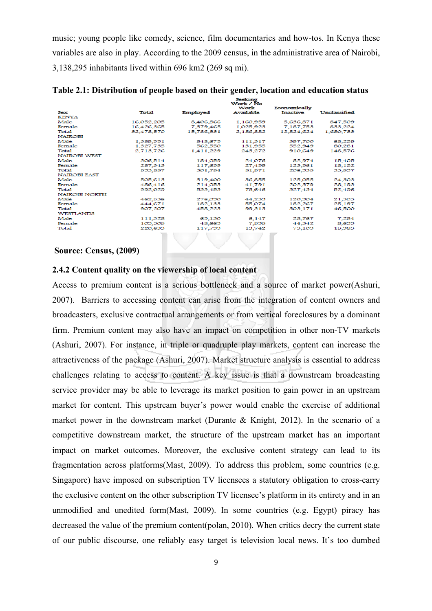music; young people like comedy, science, film documentaries and how-tos. In Kenya these variables are also in play. According to the 2009 census, in the administrative area of Nairobi, 3,138,295 inhabitants lived within 696 km2 (269 sq mi).

|                      |            |            | $-$<br>Work / No<br>Work | Economically    |              |
|----------------------|------------|------------|--------------------------|-----------------|--------------|
| <b>Sex</b>           | Total      | Employed   | Available                | <b>Inactive</b> | Unclassified |
| <b>KENYA</b>         |            |            |                          |                 |              |
| Male                 | 16,052,205 | 8,406,866  | 1,160,959                | 5,636,871       | 847,509      |
| Female               | 16,426,365 | 7,379,465  | 1,025,923                | 7,187,753       | 833,224      |
| <b>Total</b>         | 32,478,570 | 15,786,331 | 2,186,882                | 12,824,624      | 1,680,733    |
| <b>NAIROBI</b>       |            |            |                          |                 |              |
| Male                 | 1,385,991  | 848,679    | 111,317                  | 357,700         | 68,295       |
| Female               | 1,327,735  | 562,550    | 131,955                  | 552,949         | 80,281       |
| <b>Total</b>         | 2,713,726  | 1,411,229  | 243,272                  | 910,649         | 148,576      |
| <b>NAIROBI WEST</b>  |            |            |                          |                 |              |
| Male                 | 306,514    | 184,059    | 24,076                   | 82,974          | 15,405       |
| Female               | 287,343    | 117,695    | 27.495                   | 123,961         | 18,192       |
| <b>Total</b>         | 593,857    | 301,754    | 51,571                   | 206,935         | 33,597       |
| <b>NAIROBI EAST</b>  |            |            |                          |                 |              |
| Male                 | 505,613    | 319,400    | 36,855                   | 125,055         | 24,303       |
| Female               | 486,416    | 214,053    | 41,791                   | 202,379         | 28,193       |
| <b>Total</b>         | 992,029    | 533.453    | 78.646                   | 327.434         | 52,496       |
| <b>NAIROBI NORTH</b> |            |            |                          |                 |              |
| Male                 | 462.536    | 276,090    | 44.239                   | 120.904         | 21,303       |
| Female               | 444,671    | 182,133    | 55,074                   | 182,267         | 25,197       |
| Total                | 907,207    | 458,223    | 99,313                   | 303,171         | 46,500       |
| <b>WESTLANDS</b>     |            |            |                          |                 |              |
| Male                 | 111,328    | 69,130     | 6,147                    | 28,767          | 7,284        |
| Female               | 109,305    | 48,669     | 7,595                    | 44,342          | 8,699        |
| <b>Total</b>         | 220,633    | 117,799    | 13,742                   | 73,109          | 15,983       |
|                      |            |            |                          |                 |              |

**Table 2.1: Distribution of people based on their gender, location and education status**

#### **Source: Census, (2009)**

#### **2.4.2 Content quality on the viewership of local content**

Access to premium content is a serious bottleneck and a source of market power(Ashuri, 2007). Barriers to accessing content can arise from the integration of content owners and broadcasters, exclusive contractual arrangements or from vertical foreclosures by a dominant firm. Premium content may also have an impact on competition in other non-TV markets (Ashuri, 2007). For instance, in triple or quadruple play markets, content can increase the attractiveness of the package (Ashuri, 2007). Market structure analysis is essential to address challenges relating to access to content. A key issue is that a downstream broadcasting service provider may be able to leverage its market position to gain power in an upstream market for content. This upstream buyer's power would enable the exercise of additional market power in the downstream market (Durante & Knight, 2012). In the scenario of a competitive downstream market, the structure of the upstream market has an important impact on market outcomes. Moreover, the exclusive content strategy can lead to its fragmentation across platforms(Mast, 2009). To address this problem, some countries (e.g. Singapore) have imposed on subscription TV licensees a statutory obligation to cross-carry the exclusive content on the other subscription TV licensee's platform in its entirety and in an unmodified and unedited form(Mast, 2009). In some countries (e.g. Egypt) piracy has decreased the value of the premium content(polan, 2010). When critics decry the current state of our public discourse, one reliably easy target is television local news. It's too dumbed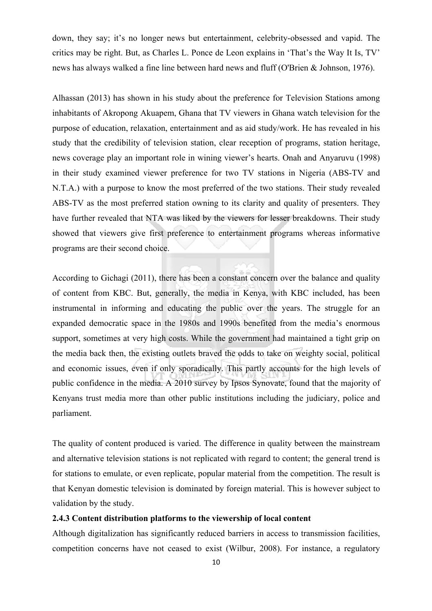down, they say; it's no longer news but entertainment, celebrity-obsessed and vapid. The critics may be right. But, as Charles L. Ponce de Leon explains in 'That's the Way It Is, TV' news has always walked a fine line between hard news and fluff (O'Brien & Johnson, 1976).

Alhassan (2013) has shown in his study about the preference for Television Stations among inhabitants of Akropong Akuapem, Ghana that TV viewers in Ghana watch television for the purpose of education, relaxation, entertainment and as aid study/work. He has revealed in his study that the credibility of television station, clear reception of programs, station heritage, news coverage play an important role in wining viewer's hearts. Onah and Anyaruvu (1998) in their study examined viewer preference for two TV stations in Nigeria (ABS-TV and N.T.A.) with a purpose to know the most preferred of the two stations. Their study revealed ABS-TV as the most preferred station owning to its clarity and quality of presenters. They have further revealed that NTA was liked by the viewers for lesser breakdowns. Their study showed that viewers give first preference to entertainment programs whereas informative programs are their second choice.

According to Gichagi (2011), there has been a constant concern over the balance and quality of content from KBC. But, generally, the media in Kenya, with KBC included, has been instrumental in informing and educating the public over the years. The struggle for an expanded democratic space in the 1980s and 1990s benefited from the media's enormous support, sometimes at very high costs. While the government had maintained a tight grip on the media back then, the existing outlets braved the odds to take on weighty social, political and economic issues, even if only sporadically. This partly accounts for the high levels of public confidence in the media. A 2010 survey by Ipsos Synovate, found that the majority of Kenyans trust media more than other public institutions including the judiciary, police and parliament.

The quality of content produced is varied. The difference in quality between the mainstream and alternative television stations is not replicated with regard to content; the general trend is for stations to emulate, or even replicate, popular material from the competition. The result is that Kenyan domestic television is dominated by foreign material. This is however subject to validation by the study.

#### **2.4.3 Content distribution platforms to the viewership of local content**

Although digitalization has significantly reduced barriers in access to transmission facilities, competition concerns have not ceased to exist (Wilbur, 2008). For instance, a regulatory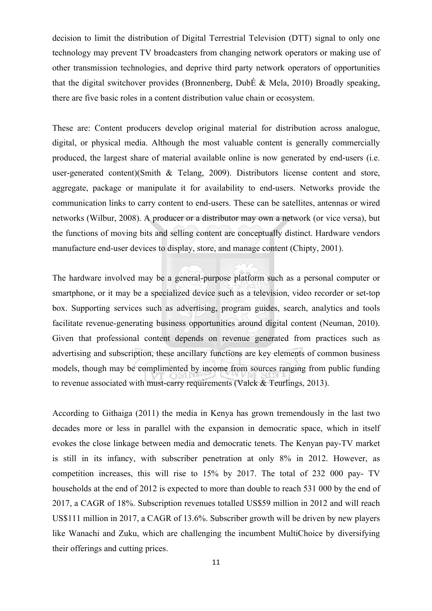decision to limit the distribution of Digital Terrestrial Television (DTT) signal to only one technology may prevent TV broadcasters from changing network operators or making use of other transmission technologies, and deprive third party network operators of opportunities that the digital switchover provides (Bronnenberg, DubÉ & Mela, 2010) Broadly speaking, there are five basic roles in a content distribution value chain or ecosystem.

These are: Content producers develop original material for distribution across analogue, digital, or physical media. Although the most valuable content is generally commercially produced, the largest share of material available online is now generated by end-users (i.e. user-generated content)(Smith & Telang, 2009). Distributors license content and store, aggregate, package or manipulate it for availability to end-users. Networks provide the communication links to carry content to end-users. These can be satellites, antennas or wired networks (Wilbur, 2008). A producer or a distributor may own a network (or vice versa), but the functions of moving bits and selling content are conceptually distinct. Hardware vendors manufacture end-user devices to display, store, and manage content (Chipty, 2001).

The hardware involved may be a general-purpose platform such as a personal computer or smartphone, or it may be a specialized device such as a television, video recorder or set-top box. Supporting services such as advertising, program guides, search, analytics and tools facilitate revenue-generating business opportunities around digital content (Neuman, 2010). Given that professional content depends on revenue generated from practices such as advertising and subscription, these ancillary functions are key elements of common business models, though may be complimented by income from sources ranging from public funding to revenue associated with must-carry requirements (Valck & Teurlings, 2013).

According to Githaiga (2011) the media in Kenya has grown tremendously in the last two decades more or less in parallel with the expansion in democratic space, which in itself evokes the close linkage between media and democratic tenets. The Kenyan pay-TV market is still in its infancy, with subscriber penetration at only 8% in 2012. However, as competition increases, this will rise to 15% by 2017. The total of 232 000 pay- TV households at the end of 2012 is expected to more than double to reach 531 000 by the end of 2017, a CAGR of 18%. Subscription revenues totalled US\$59 million in 2012 and will reach US\$111 million in 2017, a CAGR of 13.6%. Subscriber growth will be driven by new players like Wanachi and Zuku, which are challenging the incumbent MultiChoice by diversifying their offerings and cutting prices.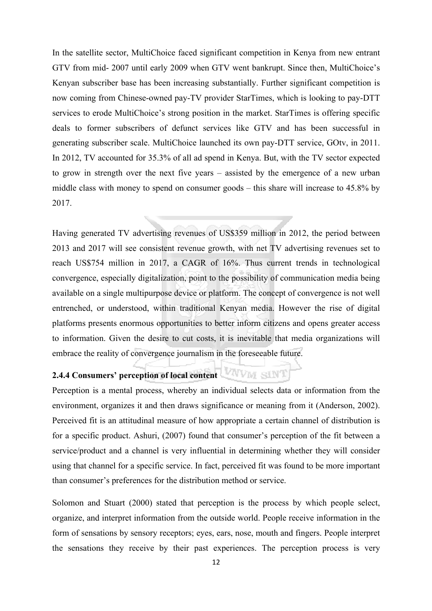In the satellite sector, MultiChoice faced significant competition in Kenya from new entrant GTV from mid- 2007 until early 2009 when GTV went bankrupt. Since then, MultiChoice's Kenyan subscriber base has been increasing substantially. Further significant competition is now coming from Chinese-owned pay-TV provider StarTimes, which is looking to pay-DTT services to erode MultiChoice's strong position in the market. StarTimes is offering specific deals to former subscribers of defunct services like GTV and has been successful in generating subscriber scale. MultiChoice launched its own pay-DTT service, GOtv, in 2011. In 2012, TV accounted for 35.3% of all ad spend in Kenya. But, with the TV sector expected to grow in strength over the next five years – assisted by the emergence of a new urban middle class with money to spend on consumer goods – this share will increase to 45.8% by 2017.

Having generated TV advertising revenues of US\$359 million in 2012, the period between 2013 and 2017 will see consistent revenue growth, with net TV advertising revenues set to reach US\$754 million in 2017, a CAGR of 16%. Thus current trends in technological convergence, especially digitalization, point to the possibility of communication media being available on a single multipurpose device or platform. The concept of convergence is not well entrenched, or understood, within traditional Kenyan media. However the rise of digital platforms presents enormous opportunities to better inform citizens and opens greater access to information. Given the desire to cut costs, it is inevitable that media organizations will embrace the reality of convergence journalism in the foreseeable future.

# **2.4.4 Consumers' perception of local content**

Perception is a mental process, whereby an individual selects data or information from the environment, organizes it and then draws significance or meaning from it (Anderson, 2002). Perceived fit is an attitudinal measure of how appropriate a certain channel of distribution is for a specific product. Ashuri, (2007) found that consumer's perception of the fit between a service/product and a channel is very influential in determining whether they will consider using that channel for a specific service. In fact, perceived fit was found to be more important than consumer's preferences for the distribution method or service.

Solomon and Stuart (2000) stated that perception is the process by which people select, organize, and interpret information from the outside world. People receive information in the form of sensations by sensory receptors; eyes, ears, nose, mouth and fingers. People interpret the sensations they receive by their past experiences. The perception process is very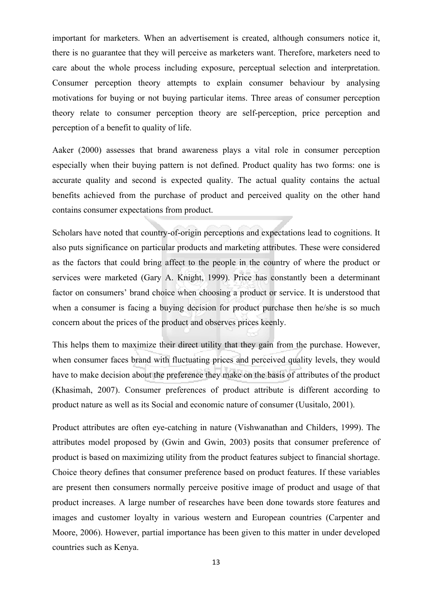important for marketers. When an advertisement is created, although consumers notice it, there is no guarantee that they will perceive as marketers want. Therefore, marketers need to care about the whole process including exposure, perceptual selection and interpretation. Consumer perception theory attempts to explain consumer behaviour by analysing motivations for buying or not buying particular items. Three areas of consumer perception theory relate to consumer perception theory are self-perception, price perception and perception of a benefit to quality of life.

Aaker (2000) assesses that brand awareness plays a vital role in consumer perception especially when their buying pattern is not defined. Product quality has two forms: one is accurate quality and second is expected quality. The actual quality contains the actual benefits achieved from the purchase of product and perceived quality on the other hand contains consumer expectations from product.

Scholars have noted that country-of-origin perceptions and expectations lead to cognitions. It also puts significance on particular products and marketing attributes. These were considered as the factors that could bring affect to the people in the country of where the product or services were marketed (Gary A. Knight, 1999). Price has constantly been a determinant factor on consumers' brand choice when choosing a product or service. It is understood that when a consumer is facing a buying decision for product purchase then he/she is so much concern about the prices of the product and observes prices keenly.

This helps them to maximize their direct utility that they gain from the purchase. However, when consumer faces brand with fluctuating prices and perceived quality levels, they would have to make decision about the preference they make on the basis of attributes of the product (Khasimah, 2007). Consumer preferences of product attribute is different according to product nature as well as its Social and economic nature of consumer (Uusitalo, 2001).

Product attributes are often eye-catching in nature (Vishwanathan and Childers, 1999). The attributes model proposed by (Gwin and Gwin, 2003) posits that consumer preference of product is based on maximizing utility from the product features subject to financial shortage. Choice theory defines that consumer preference based on product features. If these variables are present then consumers normally perceive positive image of product and usage of that product increases. A large number of researches have been done towards store features and images and customer loyalty in various western and European countries (Carpenter and Moore, 2006). However, partial importance has been given to this matter in under developed countries such as Kenya.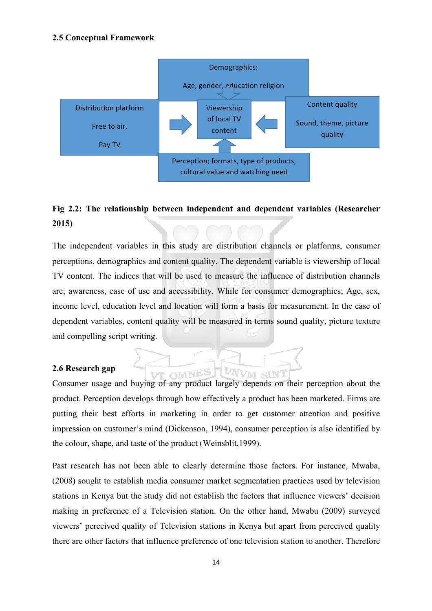#### **2.5 Conceptual Framework**



# **Fig 2.2: The relationship between independent and dependent variables (Researcher 2015)**

The independent variables in this study are distribution channels or platforms, consumer perceptions, demographics and content quality. The dependent variable is viewership of local TV content. The indices that will be used to measure the influence of distribution channels are; awareness, ease of use and accessibility. While for consumer demographics; Age, sex, income level, education level and location will form a basis for measurement. In the case of dependent variables, content quality will be measured in terms sound quality, picture texture and compelling script writing.

#### **2.6 Research gap**

Consumer usage and buying of any product largely depends on their perception about the product. Perception develops through how effectively a product has been marketed. Firms are putting their best efforts in marketing in order to get customer attention and positive impression on customer's mind (Dickenson, 1994), consumer perception is also identified by the colour, shape, and taste of the product (Weinsblit,1999).

VVM sin'

VT OMNES

Past research has not been able to clearly determine those factors. For instance, Mwaba, (2008) sought to establish media consumer market segmentation practices used by television stations in Kenya but the study did not establish the factors that influence viewers' decision making in preference of a Television station. On the other hand, Mwabu (2009) surveyed viewers' perceived quality of Television stations in Kenya but apart from perceived quality there are other factors that influence preference of one television station to another. Therefore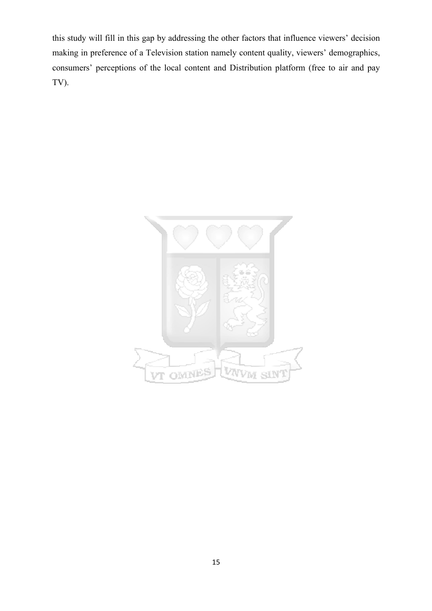this study will fill in this gap by addressing the other factors that influence viewers' decision making in preference of a Television station namely content quality, viewers' demographics, consumers' perceptions of the local content and Distribution platform (free to air and pay TV).

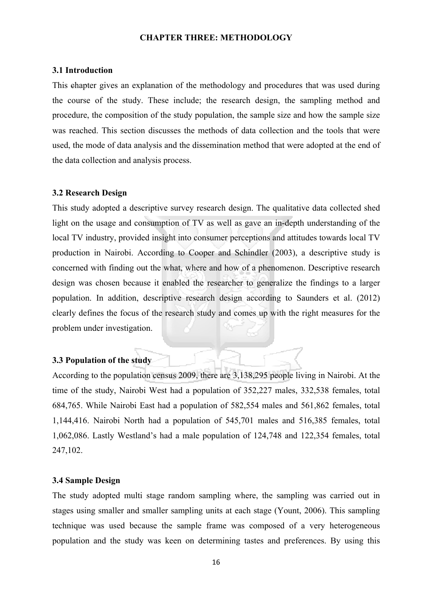#### **CHAPTER THREE: METHODOLOGY**

#### **3.1 Introduction**

This chapter gives an explanation of the methodology and procedures that was used during the course of the study. These include; the research design, the sampling method and procedure, the composition of the study population, the sample size and how the sample size was reached. This section discusses the methods of data collection and the tools that were used, the mode of data analysis and the dissemination method that were adopted at the end of the data collection and analysis process.

#### **3.2 Research Design**

This study adopted a descriptive survey research design. The qualitative data collected shed light on the usage and consumption of TV as well as gave an in-depth understanding of the local TV industry, provided insight into consumer perceptions and attitudes towards local TV production in Nairobi. According to Cooper and Schindler (2003), a descriptive study is concerned with finding out the what, where and how of a phenomenon. Descriptive research design was chosen because it enabled the researcher to generalize the findings to a larger population. In addition, descriptive research design according to Saunders et al. (2012) clearly defines the focus of the research study and comes up with the right measures for the problem under investigation.

#### **3.3 Population of the study**

According to the population census 2009, there are 3,138,295 people living in Nairobi. At the time of the study, Nairobi West had a population of 352,227 males, 332,538 females, total 684,765. While Nairobi East had a population of 582,554 males and 561,862 females, total 1,144,416. Nairobi North had a population of 545,701 males and 516,385 females, total 1,062,086. Lastly Westland's had a male population of 124,748 and 122,354 females, total 247,102.

#### **3.4 Sample Design**

The study adopted multi stage random sampling where, the sampling was carried out in stages using smaller and smaller sampling units at each stage (Yount, 2006). This sampling technique was used because the sample frame was composed of a very heterogeneous population and the study was keen on determining tastes and preferences. By using this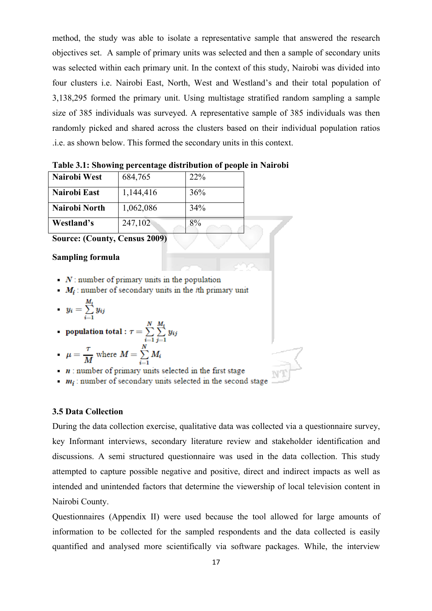method, the study was able to isolate a representative sample that answered the research objectives set. A sample of primary units was selected and then a sample of secondary units was selected within each primary unit. In the context of this study, Nairobi was divided into four clusters i.e. Nairobi East, North, West and Westland's and their total population of 3,138,295 formed the primary unit. Using multistage stratified random sampling a sample size of 385 individuals was surveyed. A representative sample of 385 individuals was then randomly picked and shared across the clusters based on their individual population ratios .i.e. as shown below. This formed the secondary units in this context.

| Nairobi West  | 684,765   | 22 <sup>%</sup> |
|---------------|-----------|-----------------|
| Nairobi East  | 1,144,416 | 36%             |
| Nairobi North | 1,062,086 | 34%             |
| Westland's    | 247,102   | 8%              |

|  | Table 3.1: Showing percentage distribution of people in Nairobi |  |  |
|--|-----------------------------------------------------------------|--|--|
|  |                                                                 |  |  |

**Source: (County, Census 2009)**

#### **Sampling formula**

- $N$ : number of primary units in the population
- $M_i$ : number of secondary units in the *i*th primary unit

$$
y_i = \sum_{i=1}^{M_1} y_{ij}
$$

$$
\text{ population total}: \tau = \sum_{i=1}^{N} \sum_{j=1}^{M_i} y_{ij}
$$

• 
$$
\mu = \frac{\tau}{M}
$$
 where  $M = \sum_{i=1}^{N} M_i$ 

- $\cdots$  *n* : number of primary units selected in the first stage
- $m_i$ : number of secondary units selected in the second stage

## **3.5 Data Collection**

During the data collection exercise, qualitative data was collected via a questionnaire survey, key Informant interviews, secondary literature review and stakeholder identification and discussions. A semi structured questionnaire was used in the data collection. This study attempted to capture possible negative and positive, direct and indirect impacts as well as intended and unintended factors that determine the viewership of local television content in Nairobi County.

Questionnaires (Appendix II) were used because the tool allowed for large amounts of information to be collected for the sampled respondents and the data collected is easily quantified and analysed more scientifically via software packages. While, the interview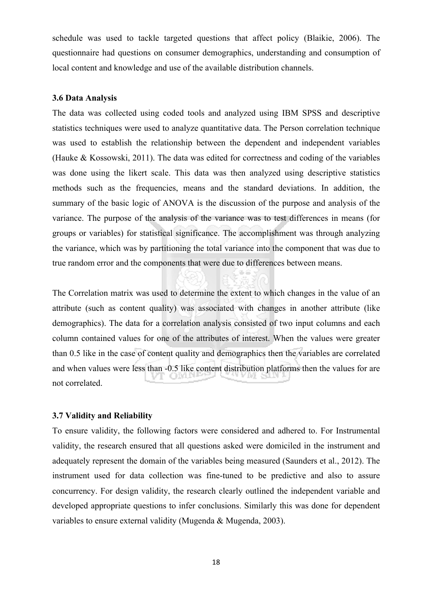schedule was used to tackle targeted questions that affect policy (Blaikie, 2006). The questionnaire had questions on consumer demographics, understanding and consumption of local content and knowledge and use of the available distribution channels.

#### **3.6 Data Analysis**

The data was collected using coded tools and analyzed using IBM SPSS and descriptive statistics techniques were used to analyze quantitative data. The Person correlation technique was used to establish the relationship between the dependent and independent variables (Hauke & Kossowski, 2011). The data was edited for correctness and coding of the variables was done using the likert scale. This data was then analyzed using descriptive statistics methods such as the frequencies, means and the standard deviations. In addition, the summary of the basic logic of ANOVA is the discussion of the purpose and analysis of the variance. The purpose of the analysis of the variance was to test differences in means (for groups or variables) for statistical significance. The accomplishment was through analyzing the variance, which was by partitioning the total variance into the component that was due to true random error and the components that were due to differences between means.

The Correlation matrix was used to determine the extent to which changes in the value of an attribute (such as content quality) was associated with changes in another attribute (like demographics). The data for a correlation analysis consisted of two input columns and each column contained values for one of the attributes of interest. When the values were greater than 0.5 like in the case of content quality and demographics then the variables are correlated and when values were less than -0.5 like content distribution platforms then the values for are not correlated.

#### **3.7 Validity and Reliability**

To ensure validity, the following factors were considered and adhered to. For Instrumental validity, the research ensured that all questions asked were domiciled in the instrument and adequately represent the domain of the variables being measured (Saunders et al., 2012). The instrument used for data collection was fine-tuned to be predictive and also to assure concurrency. For design validity, the research clearly outlined the independent variable and developed appropriate questions to infer conclusions. Similarly this was done for dependent variables to ensure external validity (Mugenda & Mugenda, 2003).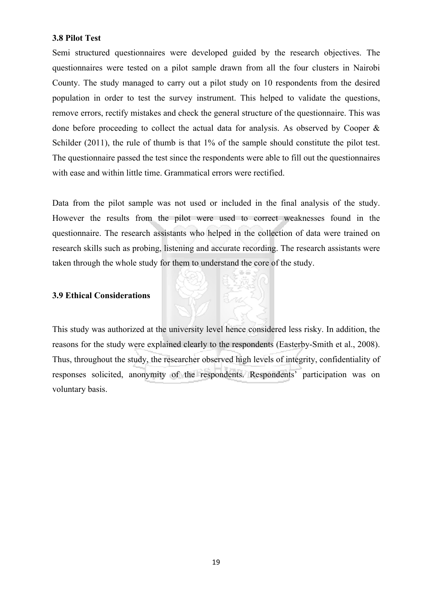#### **3.8 Pilot Test**

Semi structured questionnaires were developed guided by the research objectives. The questionnaires were tested on a pilot sample drawn from all the four clusters in Nairobi County. The study managed to carry out a pilot study on 10 respondents from the desired population in order to test the survey instrument. This helped to validate the questions, remove errors, rectify mistakes and check the general structure of the questionnaire. This was done before proceeding to collect the actual data for analysis. As observed by Cooper & Schilder (2011), the rule of thumb is that 1% of the sample should constitute the pilot test. The questionnaire passed the test since the respondents were able to fill out the questionnaires with ease and within little time. Grammatical errors were rectified.

Data from the pilot sample was not used or included in the final analysis of the study. However the results from the pilot were used to correct weaknesses found in the questionnaire. The research assistants who helped in the collection of data were trained on research skills such as probing, listening and accurate recording. The research assistants were taken through the whole study for them to understand the core of the study.

#### **3.9 Ethical Considerations**

This study was authorized at the university level hence considered less risky. In addition, the reasons for the study were explained clearly to the respondents (Easterby-Smith et al., 2008). Thus, throughout the study, the researcher observed high levels of integrity, confidentiality of responses solicited, anonymity of the respondents. Respondents' participation was on voluntary basis.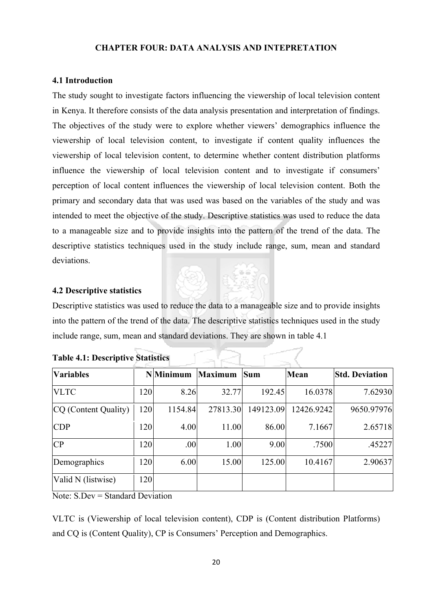#### **CHAPTER FOUR: DATA ANALYSIS AND INTEPRETATION**

#### **4.1 Introduction**

The study sought to investigate factors influencing the viewership of local television content in Kenya. It therefore consists of the data analysis presentation and interpretation of findings. The objectives of the study were to explore whether viewers' demographics influence the viewership of local television content, to investigate if content quality influences the viewership of local television content, to determine whether content distribution platforms influence the viewership of local television content and to investigate if consumers' perception of local content influences the viewership of local television content. Both the primary and secondary data that was used was based on the variables of the study and was intended to meet the objective of the study. Descriptive statistics was used to reduce the data to a manageable size and to provide insights into the pattern of the trend of the data. The descriptive statistics techniques used in the study include range, sum, mean and standard deviations.

#### **4.2 Descriptive statistics**

Descriptive statistics was used to reduce the data to a manageable size and to provide insights into the pattern of the trend of the data. The descriptive statistics techniques used in the study include range, sum, mean and standard deviations. They are shown in table 4.1

 $\alpha \leq$ 

| <b>Variables</b>     |     | <b>N</b> Minimum | <b>Maximum</b> | <b>Sum</b> | Mean       | <b>Std. Deviation</b> |
|----------------------|-----|------------------|----------------|------------|------------|-----------------------|
| <b>VLTC</b>          | 120 | 8.26             | 32.77          | 192.45     | 16.0378    | 7.62930               |
| CQ (Content Quality) | 120 | 1154.84          | 27813.30       | 149123.09  | 12426.9242 | 9650.97976            |
| <b>CDP</b>           | 120 | 4.00             | 11.00          | 86.00      | 7.1667     | 2.65718               |
| CP                   | 120 | .00              | 1.00           | 9.00       | .7500      | .45227                |
| Demographics         | 120 | 6.00             | 15.00          | 125.00     | 10.4167    | 2.90637               |
| Valid N (listwise)   | 120 |                  |                |            |            |                       |

| <b>Table 4.1: Descriptive Statistics</b> |  |
|------------------------------------------|--|
|                                          |  |

Note: S.Dev = Standard Deviation

VLTC is (Viewership of local television content), CDP is (Content distribution Platforms) and CQ is (Content Quality), CP is Consumers' Perception and Demographics.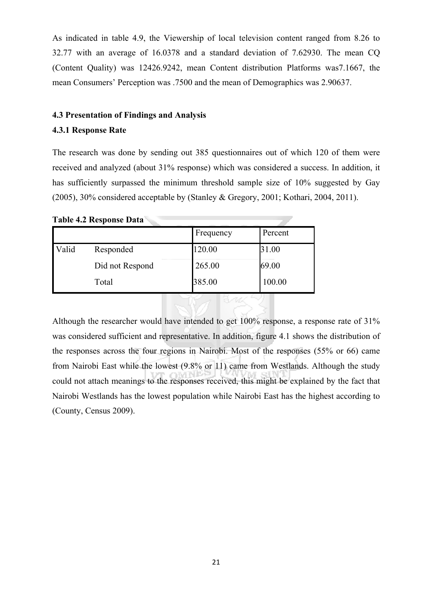As indicated in table 4.9, the Viewership of local television content ranged from 8.26 to 32.77 with an average of 16.0378 and a standard deviation of 7.62930. The mean CQ (Content Quality) was 12426.9242, mean Content distribution Platforms was7.1667, the mean Consumers' Perception was .7500 and the mean of Demographics was 2.90637.

#### **4.3 Presentation of Findings and Analysis**

#### **4.3.1 Response Rate**

The research was done by sending out 385 questionnaires out of which 120 of them were received and analyzed (about 31% response) which was considered a success. In addition, it has sufficiently surpassed the minimum threshold sample size of 10% suggested by Gay (2005), 30% considered acceptable by (Stanley & Gregory, 2001; Kothari, 2004, 2011).

**Table 4.2 Response Data** 

|       |                 | Frequency | Percent |
|-------|-----------------|-----------|---------|
| Valid | Responded       | 120.00    | 31.00   |
|       | Did not Respond | 265.00    | 69.00   |
|       | Total           | 385.00    | 100.00  |

Although the researcher would have intended to get 100% response, a response rate of 31% was considered sufficient and representative. In addition, figure 4.1 shows the distribution of the responses across the four regions in Nairobi. Most of the responses (55% or 66) came from Nairobi East while the lowest (9.8% or 11) came from Westlands. Although the study could not attach meanings to the responses received, this might be explained by the fact that Nairobi Westlands has the lowest population while Nairobi East has the highest according to (County, Census 2009).

6.W.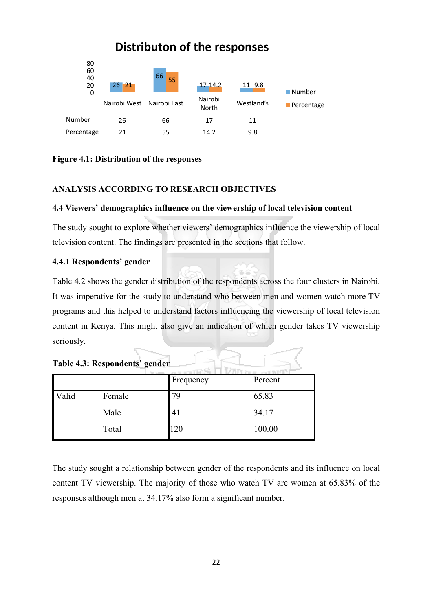

**Figure 4.1: Distribution of the responses**

#### **ANALYSIS ACCORDING TO RESEARCH OBJECTIVES**

#### **4.4 Viewers' demographics influence on the viewership of local television content**

The study sought to explore whether viewers' demographics influence the viewership of local television content. The findings are presented in the sections that follow.

#### **4.4.1 Respondents' gender**

Table 4.2 shows the gender distribution of the respondents across the four clusters in Nairobi. It was imperative for the study to understand who between men and women watch more TV programs and this helped to understand factors influencing the viewership of local television content in Kenya. This might also give an indication of which gender takes TV viewership seriously.

|  | Table 4.3: Respondents' gender |  |
|--|--------------------------------|--|
|--|--------------------------------|--|

|       |        | Frequency | Percent |
|-------|--------|-----------|---------|
| Valid | Female | 79        | 65.83   |
|       | Male   | 41        | 34.17   |
|       | Total  | 120       | 100.00  |

The study sought a relationship between gender of the respondents and its influence on local content TV viewership. The majority of those who watch TV are women at 65.83% of the responses although men at 34.17% also form a significant number.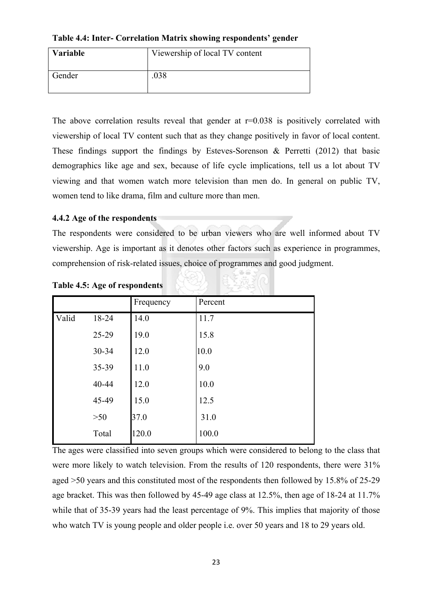**Table 4.4: Inter- Correlation Matrix showing respondents' gender**

| <b>Variable</b> | Viewership of local TV content |
|-----------------|--------------------------------|
| Gender          | .038                           |

The above correlation results reveal that gender at  $r=0.038$  is positively correlated with viewership of local TV content such that as they change positively in favor of local content. These findings support the findings by Esteves-Sorenson  $\&$  Perretti (2012) that basic demographics like age and sex, because of life cycle implications, tell us a lot about TV viewing and that women watch more television than men do. In general on public TV, women tend to like drama, film and culture more than men.

### **4.4.2 Age of the respondents**

The respondents were considered to be urban viewers who are well informed about TV viewership. Age is important as it denotes other factors such as experience in programmes, comprehension of risk-related issues, choice of programmes and good judgment.

|       |       | Frequency | Percent |
|-------|-------|-----------|---------|
| Valid | 18-24 | 14.0      | 11.7    |
|       | 25-29 | 19.0      | 15.8    |
|       | 30-34 | 12.0      | 10.0    |
|       | 35-39 | 11.0      | 9.0     |
|       | 40-44 | 12.0      | 10.0    |
|       | 45-49 | 15.0      | 12.5    |
|       | $>50$ | 37.0      | 31.0    |
|       | Total | 120.0     | 100.0   |

**Table 4.5: Age of respondents**

The ages were classified into seven groups which were considered to belong to the class that were more likely to watch television. From the results of 120 respondents, there were 31% aged >50 years and this constituted most of the respondents then followed by 15.8% of 25-29 age bracket. This was then followed by 45-49 age class at 12.5%, then age of 18-24 at 11.7% while that of 35-39 years had the least percentage of 9%. This implies that majority of those who watch TV is young people and older people i.e. over 50 years and 18 to 29 years old.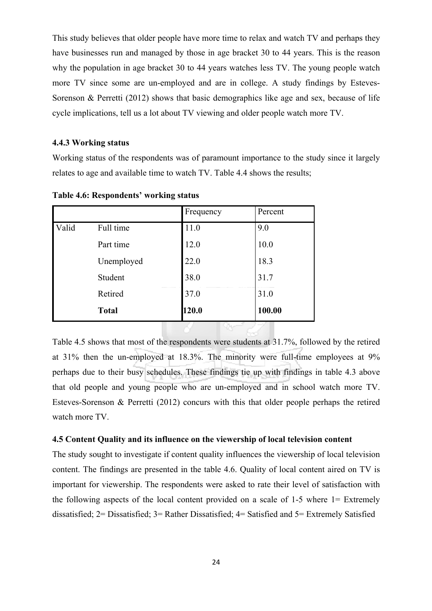This study believes that older people have more time to relax and watch TV and perhaps they have businesses run and managed by those in age bracket 30 to 44 years. This is the reason why the population in age bracket 30 to 44 years watches less TV. The young people watch more TV since some are un-employed and are in college. A study findings by Esteves-Sorenson & Perretti (2012) shows that basic demographics like age and sex, because of life cycle implications, tell us a lot about TV viewing and older people watch more TV.

#### **4.4.3 Working status**

Working status of the respondents was of paramount importance to the study since it largely relates to age and available time to watch TV. Table 4.4 shows the results;

|       |              | Frequency | Percent |
|-------|--------------|-----------|---------|
| Valid | Full time    | 11.0      | 9.0     |
|       | Part time    | 12.0      | 10.0    |
|       | Unemployed   | 22.0      | 18.3    |
|       | Student      | 38.0      | 31.7    |
|       | Retired      | 37.0      | 31.0    |
|       | <b>Total</b> | 120.0     | 100.00  |
|       |              |           |         |

**Table 4.6: Respondents' working status**

Table 4.5 shows that most of the respondents were students at 31.7%, followed by the retired at 31% then the un-employed at 18.3%. The minority were full-time employees at 9% perhaps due to their busy schedules. These findings tie up with findings in table 4.3 above that old people and young people who are un-employed and in school watch more TV. Esteves-Sorenson & Perretti (2012) concurs with this that older people perhaps the retired watch more TV.

#### **4.5 Content Quality and its influence on the viewership of local television content**

The study sought to investigate if content quality influences the viewership of local television content. The findings are presented in the table 4.6. Quality of local content aired on TV is important for viewership. The respondents were asked to rate their level of satisfaction with the following aspects of the local content provided on a scale of 1-5 where 1= Extremely dissatisfied; 2= Dissatisfied; 3= Rather Dissatisfied; 4= Satisfied and 5= Extremely Satisfied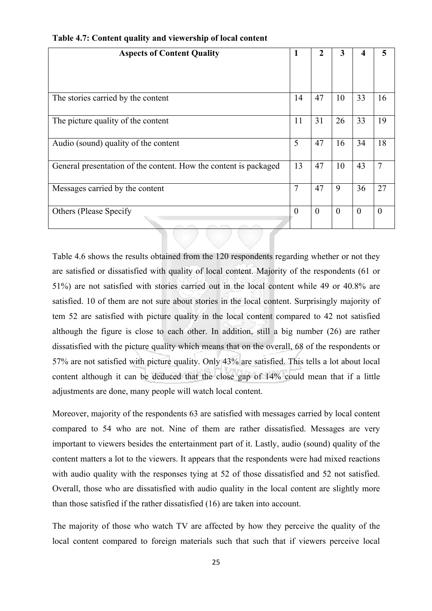| <b>Aspects of Content Quality</b>                                | 1              | 2        | 3        | 4        | 5              |
|------------------------------------------------------------------|----------------|----------|----------|----------|----------------|
|                                                                  |                |          |          |          |                |
| The stories carried by the content                               | 14             | 47       | 10       | 33       | 16             |
| The picture quality of the content                               | 11             | 31       | 26       | 33       | 19             |
| Audio (sound) quality of the content                             | 5              | 47       | 16       | 34       | 18             |
| General presentation of the content. How the content is packaged | 13             | 47       | 10       | 43       | $\overline{7}$ |
| Messages carried by the content                                  | $\overline{7}$ | 47       | 9        | 36       | 27             |
| <b>Others (Please Specify)</b>                                   | $\overline{0}$ | $\theta$ | $\theta$ | $\theta$ | $\Omega$       |

**Table 4.7: Content quality and viewership of local content** 

Table 4.6 shows the results obtained from the 120 respondents regarding whether or not they are satisfied or dissatisfied with quality of local content. Majority of the respondents (61 or 51%) are not satisfied with stories carried out in the local content while 49 or 40.8% are satisfied. 10 of them are not sure about stories in the local content. Surprisingly majority of tem 52 are satisfied with picture quality in the local content compared to 42 not satisfied although the figure is close to each other. In addition, still a big number (26) are rather dissatisfied with the picture quality which means that on the overall, 68 of the respondents or 57% are not satisfied with picture quality. Only 43% are satisfied. This tells a lot about local content although it can be deduced that the close gap of 14% could mean that if a little adjustments are done, many people will watch local content.

Moreover, majority of the respondents 63 are satisfied with messages carried by local content compared to 54 who are not. Nine of them are rather dissatisfied. Messages are very important to viewers besides the entertainment part of it. Lastly, audio (sound) quality of the content matters a lot to the viewers. It appears that the respondents were had mixed reactions with audio quality with the responses tying at 52 of those dissatisfied and 52 not satisfied. Overall, those who are dissatisfied with audio quality in the local content are slightly more than those satisfied if the rather dissatisfied (16) are taken into account.

The majority of those who watch TV are affected by how they perceive the quality of the local content compared to foreign materials such that such that if viewers perceive local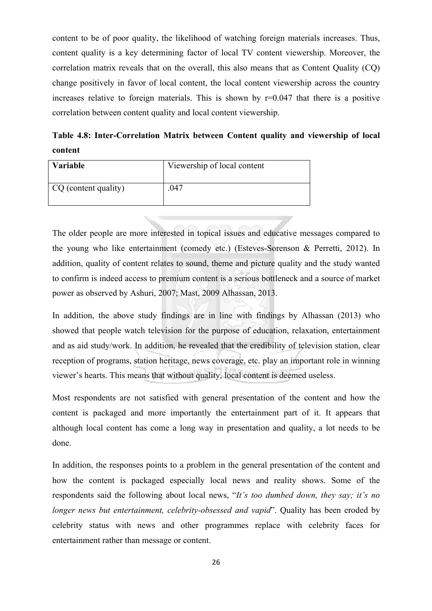content to be of poor quality, the likelihood of watching foreign materials increases. Thus, content quality is a key determining factor of local TV content viewership. Moreover, the correlation matrix reveals that on the overall, this also means that as Content Quality (CQ) change positively in favor of local content, the local content viewership across the country increases relative to foreign materials. This is shown by  $r=0.047$  that there is a positive correlation between content quality and local content viewership.

**Table 4.8: Inter-Correlation Matrix between Content quality and viewership of local content**

| <b>Variable</b>      | Viewership of local content |
|----------------------|-----------------------------|
| CQ (content quality) | .047                        |

The older people are more interested in topical issues and educative messages compared to the young who like entertainment (comedy etc.) (Esteves-Sorenson & Perretti, 2012). In addition, quality of content relates to sound, theme and picture quality and the study wanted to confirm is indeed access to premium content is a serious bottleneck and a source of market power as observed by Ashuri, 2007; Mast, 2009 Alhassan, 2013.

In addition, the above study findings are in line with findings by Alhassan (2013) who showed that people watch television for the purpose of education, relaxation, entertainment and as aid study/work. In addition, he revealed that the credibility of television station, clear reception of programs, station heritage, news coverage, etc. play an important role in winning viewer's hearts. This means that without quality, local content is deemed useless.

Most respondents are not satisfied with general presentation of the content and how the content is packaged and more importantly the entertainment part of it. It appears that although local content has come a long way in presentation and quality, a lot needs to be done.

In addition, the responses points to a problem in the general presentation of the content and how the content is packaged especially local news and reality shows. Some of the respondents said the following about local news, "*It's too dumbed down, they say; it's no longer news but entertainment, celebrity-obsessed and vapid*". Quality has been eroded by celebrity status with news and other programmes replace with celebrity faces for entertainment rather than message or content.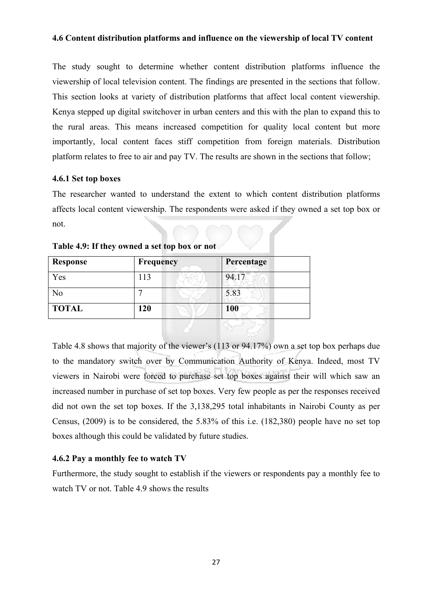#### **4.6 Content distribution platforms and influence on the viewership of local TV content**

The study sought to determine whether content distribution platforms influence the viewership of local television content. The findings are presented in the sections that follow. This section looks at variety of distribution platforms that affect local content viewership. Kenya stepped up digital switchover in urban centers and this with the plan to expand this to the rural areas. This means increased competition for quality local content but more importantly, local content faces stiff competition from foreign materials. Distribution platform relates to free to air and pay TV. The results are shown in the sections that follow;

#### **4.6.1 Set top boxes**

The researcher wanted to understand the extent to which content distribution platforms affects local content viewership. The respondents were asked if they owned a set top box or not.

| Response       | Frequency | Percentage |
|----------------|-----------|------------|
| Yes            | 113       | 94.17      |
| N <sub>0</sub> |           | 5.83       |
| <b>TOTAL</b>   | 120       | 100        |
|                |           |            |

**Table 4.9: If they owned a set top box or not**

Table 4.8 shows that majority of the viewer's (113 or 94.17%) own a set top box perhaps due to the mandatory switch over by Communication Authority of Kenya. Indeed, most TV viewers in Nairobi were forced to purchase set top boxes against their will which saw an increased number in purchase of set top boxes. Very few people as per the responses received did not own the set top boxes. If the 3,138,295 total inhabitants in Nairobi County as per Census, (2009) is to be considered, the 5.83% of this i.e. (182,380) people have no set top boxes although this could be validated by future studies.

#### **4.6.2 Pay a monthly fee to watch TV**

Furthermore, the study sought to establish if the viewers or respondents pay a monthly fee to watch TV or not. Table 4.9 shows the results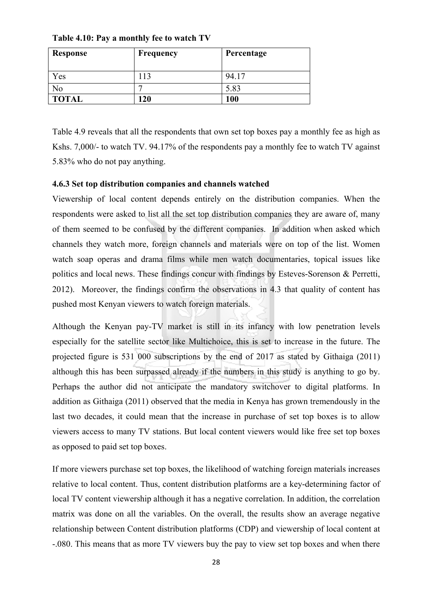**Table 4.10: Pay a monthly fee to watch TV** 

| Response     | <b>Frequency</b> | Percentage |
|--------------|------------------|------------|
|              |                  |            |
| Yes          | 13               | 94.17      |
| No           |                  | 5.83       |
| <b>TOTAL</b> | 20               | 100        |

Table 4.9 reveals that all the respondents that own set top boxes pay a monthly fee as high as Kshs. 7,000/- to watch TV. 94.17% of the respondents pay a monthly fee to watch TV against 5.83% who do not pay anything.

#### **4.6.3 Set top distribution companies and channels watched**

Viewership of local content depends entirely on the distribution companies. When the respondents were asked to list all the set top distribution companies they are aware of, many of them seemed to be confused by the different companies. In addition when asked which channels they watch more, foreign channels and materials were on top of the list. Women watch soap operas and drama films while men watch documentaries, topical issues like politics and local news. These findings concur with findings by Esteves-Sorenson & Perretti, 2012). Moreover, the findings confirm the observations in 4.3 that quality of content has pushed most Kenyan viewers to watch foreign materials.

Although the Kenyan pay-TV market is still in its infancy with low penetration levels especially for the satellite sector like Multichoice, this is set to increase in the future. The projected figure is 531 000 subscriptions by the end of 2017 as stated by Githaiga (2011) although this has been surpassed already if the numbers in this study is anything to go by. Perhaps the author did not anticipate the mandatory switchover to digital platforms. In addition as Githaiga (2011) observed that the media in Kenya has grown tremendously in the last two decades, it could mean that the increase in purchase of set top boxes is to allow viewers access to many TV stations. But local content viewers would like free set top boxes as opposed to paid set top boxes.

If more viewers purchase set top boxes, the likelihood of watching foreign materials increases relative to local content. Thus, content distribution platforms are a key-determining factor of local TV content viewership although it has a negative correlation. In addition, the correlation matrix was done on all the variables. On the overall, the results show an average negative relationship between Content distribution platforms (CDP) and viewership of local content at -.080. This means that as more TV viewers buy the pay to view set top boxes and when there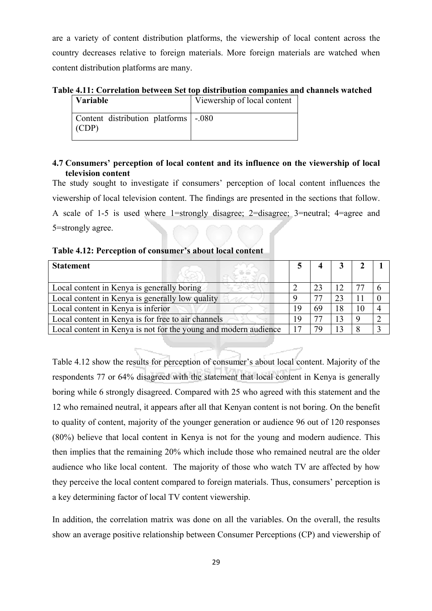are a variety of content distribution platforms, the viewership of local content across the country decreases relative to foreign materials. More foreign materials are watched when content distribution platforms are many.

**Table 4.11: Correlation between Set top distribution companies and channels watched**

| <b>Variable</b>                                 | Viewership of local content |
|-------------------------------------------------|-----------------------------|
| Content distribution platforms   -.080<br>(CDP) |                             |

## **4.7 Consumers' perception of local content and its influence on the viewership of local television content**

The study sought to investigate if consumers' perception of local content influences the viewership of local television content. The findings are presented in the sections that follow. A scale of 1-5 is used where 1=strongly disagree; 2=disagree; 3=neutral; 4=agree and 5=strongly agree.

| <b>Statement</b>                                                |   | 3  |   |  |
|-----------------------------------------------------------------|---|----|---|--|
| Local content in Kenya is generally boring                      |   | 12 |   |  |
| Local content in Kenya is generally low quality                 | Q | 23 |   |  |
| Local content in Kenya is inferior                              |   | 18 |   |  |
| Local content in Kenya is for free to air channels              |   | 13 |   |  |
| Local content in Kenya is not for the young and modern audience |   |    | 8 |  |

| Table 4.12: Perception of consumer's about local content |  |  |
|----------------------------------------------------------|--|--|
|----------------------------------------------------------|--|--|

Table 4.12 show the results for perception of consumer's about local content. Majority of the respondents 77 or 64% disagreed with the statement that local content in Kenya is generally boring while 6 strongly disagreed. Compared with 25 who agreed with this statement and the 12 who remained neutral, it appears after all that Kenyan content is not boring. On the benefit to quality of content, majority of the younger generation or audience 96 out of 120 responses (80%) believe that local content in Kenya is not for the young and modern audience. This then implies that the remaining 20% which include those who remained neutral are the older audience who like local content. The majority of those who watch TV are affected by how they perceive the local content compared to foreign materials. Thus, consumers' perception is a key determining factor of local TV content viewership.

In addition, the correlation matrix was done on all the variables. On the overall, the results show an average positive relationship between Consumer Perceptions (CP) and viewership of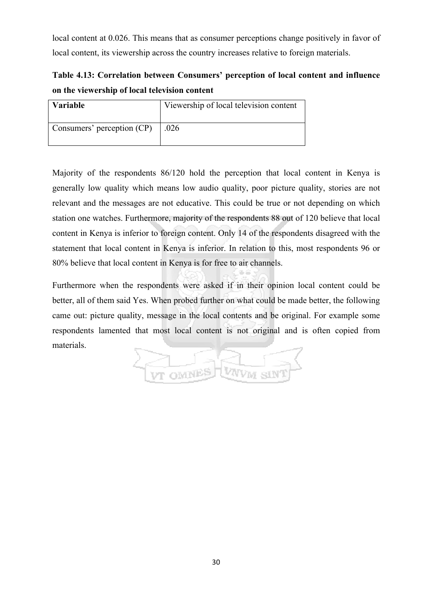local content at 0.026. This means that as consumer perceptions change positively in favor of local content, its viewership across the country increases relative to foreign materials.

# **Table 4.13: Correlation between Consumers' perception of local content and influence on the viewership of local television content**

| <b>Variable</b>            | Viewership of local television content |
|----------------------------|----------------------------------------|
| Consumers' perception (CP) | .026                                   |

Majority of the respondents 86/120 hold the perception that local content in Kenya is generally low quality which means low audio quality, poor picture quality, stories are not relevant and the messages are not educative. This could be true or not depending on which station one watches. Furthermore, majority of the respondents 88 out of 120 believe that local content in Kenya is inferior to foreign content. Only 14 of the respondents disagreed with the statement that local content in Kenya is inferior. In relation to this, most respondents 96 or 80% believe that local content in Kenya is for free to air channels.

Furthermore when the respondents were asked if in their opinion local content could be better, all of them said Yes. When probed further on what could be made better, the following came out: picture quality, message in the local contents and be original. For example some respondents lamented that most local content is not original and is often copied from materials.

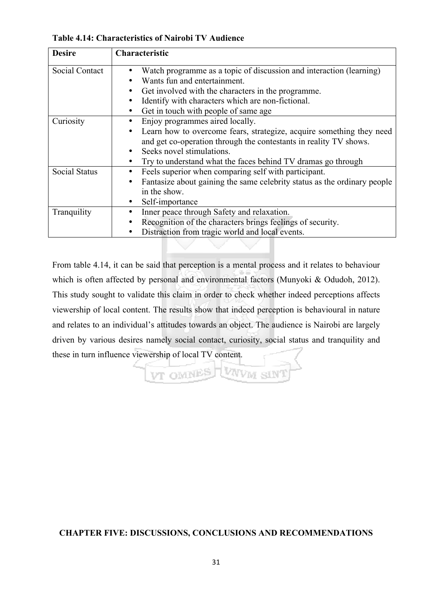**Table 4.14: Characteristics of Nairobi TV Audience**

| <b>Desire</b>        | Characteristic                                                           |
|----------------------|--------------------------------------------------------------------------|
| Social Contact       | Watch programme as a topic of discussion and interaction (learning)      |
|                      | Wants fun and entertainment.                                             |
|                      | Get involved with the characters in the programme.                       |
|                      | Identify with characters which are non-fictional.                        |
|                      | Get in touch with people of same age.                                    |
| Curiosity            | Enjoy programmes aired locally.                                          |
|                      | Learn how to overcome fears, strategize, acquire something they need     |
|                      | and get co-operation through the contestants in reality TV shows.        |
|                      | Seeks novel stimulations.                                                |
|                      | Try to understand what the faces behind TV dramas go through             |
| <b>Social Status</b> | Feels superior when comparing self with participant.                     |
|                      | Fantasize about gaining the same celebrity status as the ordinary people |
|                      | in the show.                                                             |
|                      | Self-importance                                                          |
| Tranquility          | Inner peace through Safety and relaxation.                               |
|                      | Recognition of the characters brings feelings of security.               |
|                      | Distraction from tragic world and local events.                          |

From table 4.14, it can be said that perception is a mental process and it relates to behaviour which is often affected by personal and environmental factors (Munyoki & Odudoh, 2012). This study sought to validate this claim in order to check whether indeed perceptions affects viewership of local content. The results show that indeed perception is behavioural in nature and relates to an individual's attitudes towards an object. The audience is Nairobi are largely driven by various desires namely social contact, curiosity, social status and tranquility and these in turn influence viewership of local TV content.

VT OMNES WAVM SIN

# **CHAPTER FIVE: DISCUSSIONS, CONCLUSIONS AND RECOMMENDATIONS**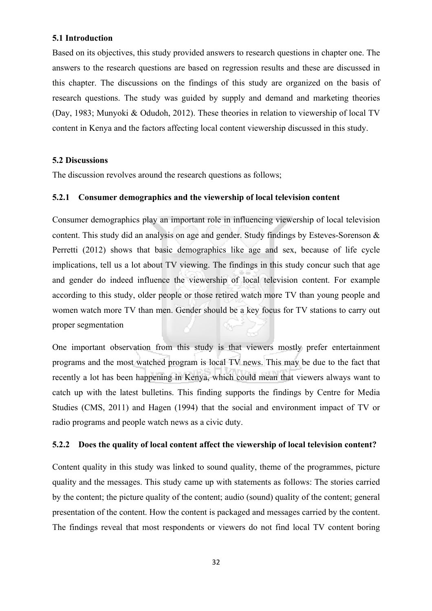#### **5.1 Introduction**

Based on its objectives, this study provided answers to research questions in chapter one. The answers to the research questions are based on regression results and these are discussed in this chapter. The discussions on the findings of this study are organized on the basis of research questions. The study was guided by supply and demand and marketing theories (Day, 1983; Munyoki & Odudoh, 2012). These theories in relation to viewership of local TV content in Kenya and the factors affecting local content viewership discussed in this study.

#### **5.2 Discussions**

The discussion revolves around the research questions as follows;

### **5.2.1 Consumer demographics and the viewership of local television content**

Consumer demographics play an important role in influencing viewership of local television content. This study did an analysis on age and gender. Study findings by Esteves-Sorenson & Perretti (2012) shows that basic demographics like age and sex, because of life cycle implications, tell us a lot about TV viewing. The findings in this study concur such that age and gender do indeed influence the viewership of local television content. For example according to this study, older people or those retired watch more TV than young people and women watch more TV than men. Gender should be a key focus for TV stations to carry out proper segmentation

One important observation from this study is that viewers mostly prefer entertainment programs and the most watched program is local TV news. This may be due to the fact that recently a lot has been happening in Kenya, which could mean that viewers always want to catch up with the latest bulletins. This finding supports the findings by Centre for Media Studies (CMS, 2011) and Hagen (1994) that the social and environment impact of TV or radio programs and people watch news as a civic duty.

#### **5.2.2 Does the quality of local content affect the viewership of local television content?**

Content quality in this study was linked to sound quality, theme of the programmes, picture quality and the messages. This study came up with statements as follows: The stories carried by the content; the picture quality of the content; audio (sound) quality of the content; general presentation of the content. How the content is packaged and messages carried by the content. The findings reveal that most respondents or viewers do not find local TV content boring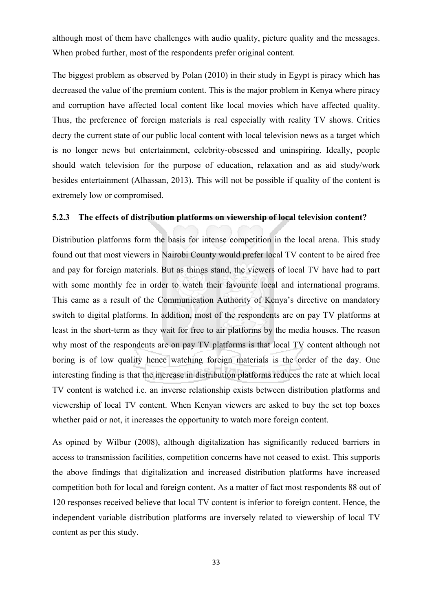although most of them have challenges with audio quality, picture quality and the messages. When probed further, most of the respondents prefer original content.

The biggest problem as observed by Polan (2010) in their study in Egypt is piracy which has decreased the value of the premium content. This is the major problem in Kenya where piracy and corruption have affected local content like local movies which have affected quality. Thus, the preference of foreign materials is real especially with reality TV shows. Critics decry the current state of our public local content with local television news as a target which is no longer news but entertainment, celebrity-obsessed and uninspiring. Ideally, people should watch television for the purpose of education, relaxation and as aid study/work besides entertainment (Alhassan, 2013). This will not be possible if quality of the content is extremely low or compromised.

#### **5.2.3 The effects of distribution platforms on viewership of local television content?**

Distribution platforms form the basis for intense competition in the local arena. This study found out that most viewers in Nairobi County would prefer local TV content to be aired free and pay for foreign materials. But as things stand, the viewers of local TV have had to part with some monthly fee in order to watch their favourite local and international programs. This came as a result of the Communication Authority of Kenya's directive on mandatory switch to digital platforms. In addition, most of the respondents are on pay TV platforms at least in the short-term as they wait for free to air platforms by the media houses. The reason why most of the respondents are on pay TV platforms is that local TV content although not boring is of low quality hence watching foreign materials is the order of the day. One interesting finding is that the increase in distribution platforms reduces the rate at which local TV content is watched i.e. an inverse relationship exists between distribution platforms and viewership of local TV content. When Kenyan viewers are asked to buy the set top boxes whether paid or not, it increases the opportunity to watch more foreign content.

As opined by Wilbur (2008), although digitalization has significantly reduced barriers in access to transmission facilities, competition concerns have not ceased to exist. This supports the above findings that digitalization and increased distribution platforms have increased competition both for local and foreign content. As a matter of fact most respondents 88 out of 120 responses received believe that local TV content is inferior to foreign content. Hence, the independent variable distribution platforms are inversely related to viewership of local TV content as per this study.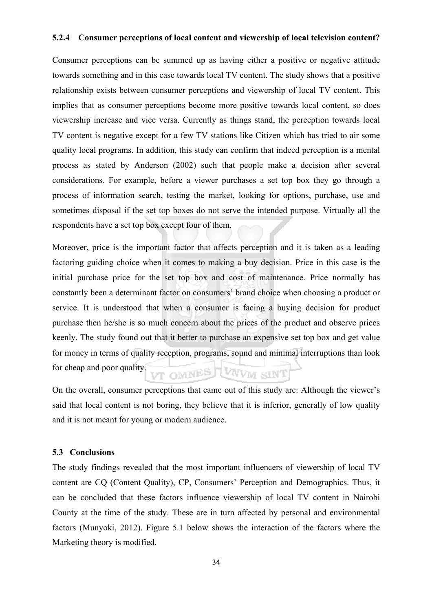#### **5.2.4 Consumer perceptions of local content and viewership of local television content?**

Consumer perceptions can be summed up as having either a positive or negative attitude towards something and in this case towards local TV content. The study shows that a positive relationship exists between consumer perceptions and viewership of local TV content. This implies that as consumer perceptions become more positive towards local content, so does viewership increase and vice versa. Currently as things stand, the perception towards local TV content is negative except for a few TV stations like Citizen which has tried to air some quality local programs. In addition, this study can confirm that indeed perception is a mental process as stated by Anderson (2002) such that people make a decision after several considerations. For example, before a viewer purchases a set top box they go through a process of information search, testing the market, looking for options, purchase, use and sometimes disposal if the set top boxes do not serve the intended purpose. Virtually all the respondents have a set top box except four of them.

Moreover, price is the important factor that affects perception and it is taken as a leading factoring guiding choice when it comes to making a buy decision. Price in this case is the initial purchase price for the set top box and cost of maintenance. Price normally has constantly been a determinant factor on consumers' brand choice when choosing a product or service. It is understood that when a consumer is facing a buying decision for product purchase then he/she is so much concern about the prices of the product and observe prices keenly. The study found out that it better to purchase an expensive set top box and get value for money in terms of quality reception, programs, sound and minimal interruptions than look for cheap and poor quality. VT OMNES WAVM SINT

On the overall, consumer perceptions that came out of this study are: Although the viewer's said that local content is not boring, they believe that it is inferior, generally of low quality and it is not meant for young or modern audience.

#### **5.3 Conclusions**

The study findings revealed that the most important influencers of viewership of local TV content are CQ (Content Quality), CP, Consumers' Perception and Demographics. Thus, it can be concluded that these factors influence viewership of local TV content in Nairobi County at the time of the study. These are in turn affected by personal and environmental factors (Munyoki, 2012). Figure 5.1 below shows the interaction of the factors where the Marketing theory is modified.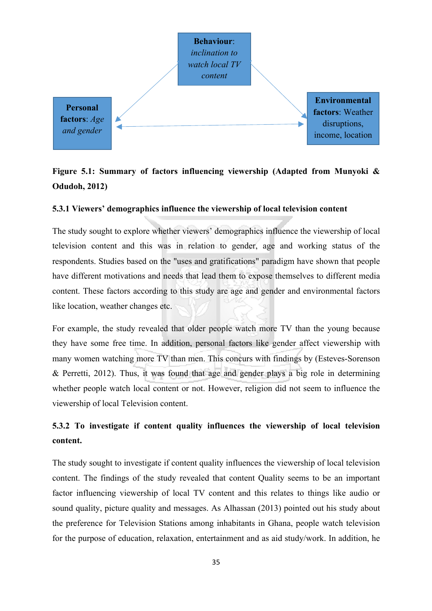

# **Figure 5.1: Summary of factors influencing viewership (Adapted from Munyoki & Odudoh, 2012)**

#### **5.3.1 Viewers' demographics influence the viewership of local television content**

The study sought to explore whether viewers' demographics influence the viewership of local television content and this was in relation to gender, age and working status of the respondents. Studies based on the "uses and gratifications" paradigm have shown that people have different motivations and needs that lead them to expose themselves to different media content. These factors according to this study are age and gender and environmental factors like location, weather changes etc.

For example, the study revealed that older people watch more TV than the young because they have some free time. In addition, personal factors like gender affect viewership with many women watching more TV than men. This concurs with findings by (Esteves-Sorenson & Perretti, 2012). Thus, it was found that age and gender plays a big role in determining whether people watch local content or not. However, religion did not seem to influence the viewership of local Television content.

# **5.3.2 To investigate if content quality influences the viewership of local television content.**

The study sought to investigate if content quality influences the viewership of local television content. The findings of the study revealed that content Quality seems to be an important factor influencing viewership of local TV content and this relates to things like audio or sound quality, picture quality and messages. As Alhassan (2013) pointed out his study about the preference for Television Stations among inhabitants in Ghana, people watch television for the purpose of education, relaxation, entertainment and as aid study/work. In addition, he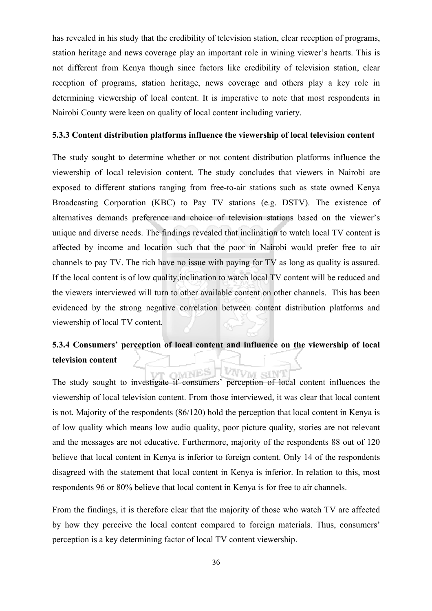has revealed in his study that the credibility of television station, clear reception of programs, station heritage and news coverage play an important role in wining viewer's hearts. This is not different from Kenya though since factors like credibility of television station, clear reception of programs, station heritage, news coverage and others play a key role in determining viewership of local content. It is imperative to note that most respondents in Nairobi County were keen on quality of local content including variety.

#### **5.3.3 Content distribution platforms influence the viewership of local television content**

The study sought to determine whether or not content distribution platforms influence the viewership of local television content. The study concludes that viewers in Nairobi are exposed to different stations ranging from free-to-air stations such as state owned Kenya Broadcasting Corporation (KBC) to Pay TV stations (e.g. DSTV). The existence of alternatives demands preference and choice of television stations based on the viewer's unique and diverse needs. The findings revealed that inclination to watch local TV content is affected by income and location such that the poor in Nairobi would prefer free to air channels to pay TV. The rich have no issue with paying for TV as long as quality is assured. If the local content is of low quality,inclination to watch local TV content will be reduced and the viewers interviewed will turn to other available content on other channels. This has been evidenced by the strong negative correlation between content distribution platforms and viewership of local TV content.

# **5.3.4 Consumers' perception of local content and influence on the viewership of local television content**

OWNES

VVVM SIN'

The study sought to investigate if consumers' perception of local content influences the viewership of local television content. From those interviewed, it was clear that local content is not. Majority of the respondents (86/120) hold the perception that local content in Kenya is of low quality which means low audio quality, poor picture quality, stories are not relevant and the messages are not educative. Furthermore, majority of the respondents 88 out of 120 believe that local content in Kenya is inferior to foreign content. Only 14 of the respondents disagreed with the statement that local content in Kenya is inferior. In relation to this, most respondents 96 or 80% believe that local content in Kenya is for free to air channels.

From the findings, it is therefore clear that the majority of those who watch TV are affected by how they perceive the local content compared to foreign materials. Thus, consumers' perception is a key determining factor of local TV content viewership.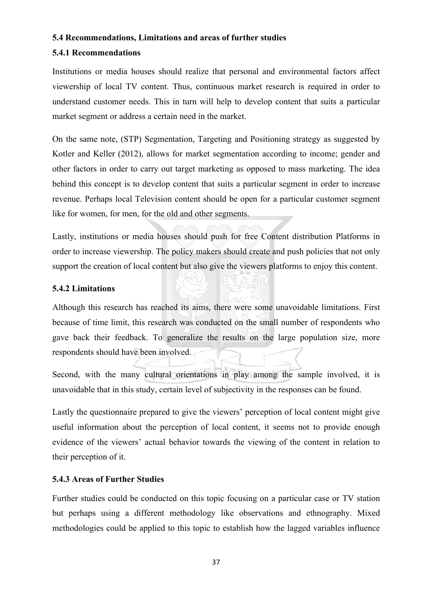#### **5.4 Recommendations, Limitations and areas of further studies**

#### **5.4.1 Recommendations**

Institutions or media houses should realize that personal and environmental factors affect viewership of local TV content. Thus, continuous market research is required in order to understand customer needs. This in turn will help to develop content that suits a particular market segment or address a certain need in the market.

On the same note, (STP) Segmentation, Targeting and Positioning strategy as suggested by Kotler and Keller (2012), allows for market segmentation according to income; gender and other factors in order to carry out target marketing as opposed to mass marketing. The idea behind this concept is to develop content that suits a particular segment in order to increase revenue. Perhaps local Television content should be open for a particular customer segment like for women, for men, for the old and other segments.

Lastly, institutions or media houses should push for free Content distribution Platforms in order to increase viewership. The policy makers should create and push policies that not only support the creation of local content but also give the viewers platforms to enjoy this content.

#### **5.4.2 Limitations**

Although this research has reached its aims, there were some unavoidable limitations. First because of time limit, this research was conducted on the small number of respondents who gave back their feedback. To generalize the results on the large population size, more respondents should have been involved.

Second, with the many cultural orientations in play among the sample involved, it is unavoidable that in this study, certain level of subjectivity in the responses can be found.

Lastly the questionnaire prepared to give the viewers' perception of local content might give useful information about the perception of local content, it seems not to provide enough evidence of the viewers' actual behavior towards the viewing of the content in relation to their perception of it.

#### **5.4.3 Areas of Further Studies**

Further studies could be conducted on this topic focusing on a particular case or TV station but perhaps using a different methodology like observations and ethnography. Mixed methodologies could be applied to this topic to establish how the lagged variables influence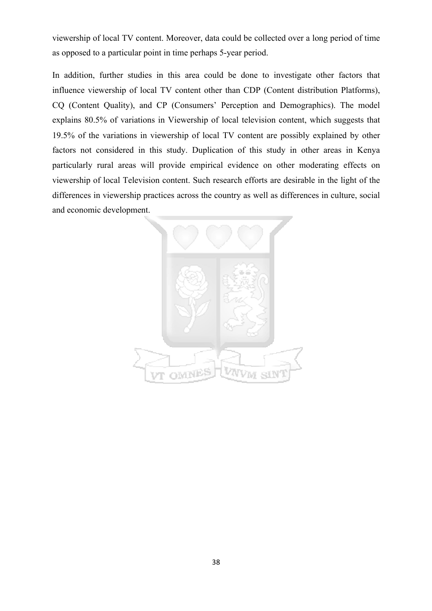viewership of local TV content. Moreover, data could be collected over a long period of time as opposed to a particular point in time perhaps 5-year period.

In addition, further studies in this area could be done to investigate other factors that influence viewership of local TV content other than CDP (Content distribution Platforms), CQ (Content Quality), and CP (Consumers' Perception and Demographics). The model explains 80.5% of variations in Viewership of local television content, which suggests that 19.5% of the variations in viewership of local TV content are possibly explained by other factors not considered in this study. Duplication of this study in other areas in Kenya particularly rural areas will provide empirical evidence on other moderating effects on viewership of local Television content. Such research efforts are desirable in the light of the differences in viewership practices across the country as well as differences in culture, social and economic development.

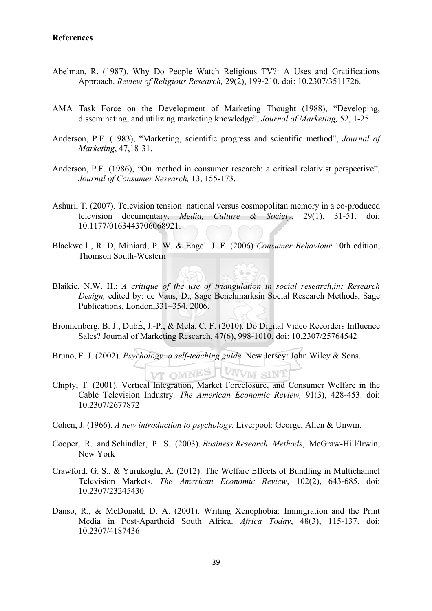#### **References**

- Abelman, R. (1987). Why Do People Watch Religious TV?: A Uses and Gratifications Approach. *Review of Religious Research,* 29(2), 199-210. doi: 10.2307/3511726.
- AMA Task Force on the Development of Marketing Thought (1988), "Developing, disseminating, and utilizing marketing knowledge", *Journal of Marketing,* 52, 1-25.
- Anderson, P.F. (1983), "Marketing, scientific progress and scientific method", *Journal of Marketing*, 47,18-31.
- Anderson, P.F. (1986), "On method in consumer research: a critical relativist perspective", *Journal of Consumer Research,* 13, 155-173.
- Ashuri, T. (2007). Television tension: national versus cosmopolitan memory in a co-produced television documentary. *Media, Culture & Society,* 29(1), 31-51. doi: 10.1177/0163443706068921.
- Blackwell , R. D, Miniard, P. W. & Engel. J. F. (2006) *Consumer Behaviour* 10th edition, Thomson South-Western
- Blaikie, N.W. H.: *A critique of the use of triangulation in social research,in: Research Design,* edited by: de Vaus, D., Sage Benchmarksin Social Research Methods, Sage Publications, London,331–354, 2006.
- Bronnenberg, B. J., DubÉ, J.-P., & Mela, C. F. (2010). Do Digital Video Recorders Influence Sales? Journal of Marketing Research, 47(6), 998-1010. doi: 10.2307/25764542
- Bruno, F. J. (2002). *Psychology: a self-teaching guide.* New Jersey: John Wiley & Sons.
- Chipty, T. (2001). Vertical Integration, Market Foreclosure, and Consumer Welfare in the Cable Television Industry. *The American Economic Review,* 91(3), 428-453. doi: 10.2307/2677872

**VT OMNES LVWW SINT** 

- Cohen, J. (1966). *A new introduction to psychology.* Liverpool: George, Allen & Unwin.
- Cooper, R. and Schindler, P. S. (2003). *Business Research Methods*, McGraw-Hill/Irwin, New York
- Crawford, G. S., & Yurukoglu, A. (2012). The Welfare Effects of Bundling in Multichannel Television Markets. *The American Economic Review*, 102(2), 643-685. doi: 10.2307/23245430
- Danso, R., & McDonald, D. A. (2001). Writing Xenophobia: Immigration and the Print Media in Post-Apartheid South Africa. *Africa Today*, 48(3), 115-137. doi: 10.2307/4187436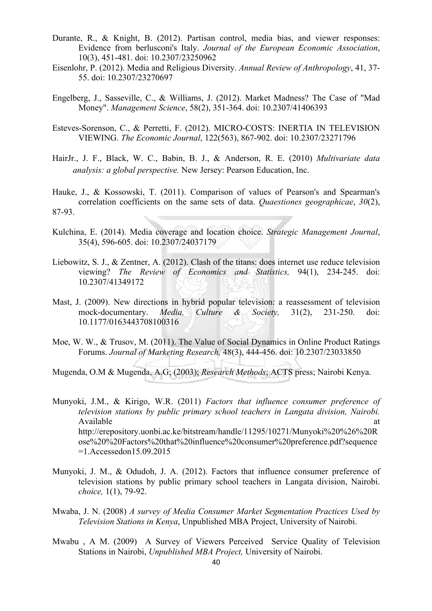- Durante, R., & Knight, B. (2012). Partisan control, media bias, and viewer responses: Evidence from berlusconi's Italy. *Journal of the European Economic Association*, 10(3), 451-481. doi: 10.2307/23250962
- Eisenlohr, P. (2012). Media and Religious Diversity. *Annual Review of Anthropology*, 41, 37- 55. doi: 10.2307/23270697
- Engelberg, J., Sasseville, C., & Williams, J. (2012). Market Madness? The Case of "Mad Money". *Management Science*, 58(2), 351-364. doi: 10.2307/41406393
- Esteves-Sorenson, C., & Perretti, F. (2012). MICRO-COSTS: INERTIA IN TELEVISION VIEWING. *The Economic Journal*, 122(563), 867-902. doi: 10.2307/23271796
- HairJr., J. F., Black, W. C., Babin, B. J., & Anderson, R. E. (2010) *Multivariate data analysis: a global perspective.* New Jersey: Pearson Education, Inc.
- Hauke, J., & Kossowski, T. (2011). Comparison of values of Pearson's and Spearman's correlation coefficients on the same sets of data. *Quaestiones geographicae*, *30*(2), 87-93.
- Kulchina, E. (2014). Media coverage and location choice. *Strategic Management Journal*, 35(4), 596-605. doi: 10.2307/24037179
- Liebowitz, S. J., & Zentner, A. (2012). Clash of the titans: does internet use reduce television viewing? *The Review of Economics and Statistics,* 94(1), 234-245. doi: 10.2307/41349172
- Mast, J. (2009). New directions in hybrid popular television: a reassessment of television mock-documentary. *Media, Culture & Society,* 31(2), 231-250. doi: 10.1177/0163443708100316
- Moe, W. W., & Trusov, M. (2011). The Value of Social Dynamics in Online Product Ratings Forums. *Journal of Marketing Research,* 48(3), 444-456. doi: 10.2307/23033850
- Mugenda, O.M & Mugenda, A.G; (2003); *Research Methods*; ACTS press; Nairobi Kenya.

Munyoki, J.M., & Kirigo, W.R. (2011) *Factors that influence consumer preference of television stations by public primary school teachers in Langata division, Nairobi.* Available at a state of  $\alpha$  at a state of  $\alpha$  at a state of  $\alpha$  at a state of  $\alpha$  at a state of  $\alpha$  at a state of  $\alpha$  at a state of  $\alpha$  at a state of  $\alpha$  at a state of  $\alpha$  at a state of  $\alpha$  at a state of  $\alpha$  at http://erepository.uonbi.ac.ke/bitstream/handle/11295/10271/Munyoki%20%26%20R ose%20%20Factors%20that%20influence%20consumer%20preference.pdf?sequence =1.Accessedon15.09.2015

- Munyoki, J. M., & Odudoh, J. A. (2012). Factors that influence consumer preference of television stations by public primary school teachers in Langata division, Nairobi. *choice,* 1(1), 79-92.
- Mwaba, J. N. (2008) *A survey of Media Consumer Market Segmentation Practices Used by Television Stations in Kenya*, Unpublished MBA Project, University of Nairobi.
- Mwabu , A M. (2009) A Survey of Viewers Perceived Service Quality of Television Stations in Nairobi, *Unpublished MBA Project,* University of Nairobi.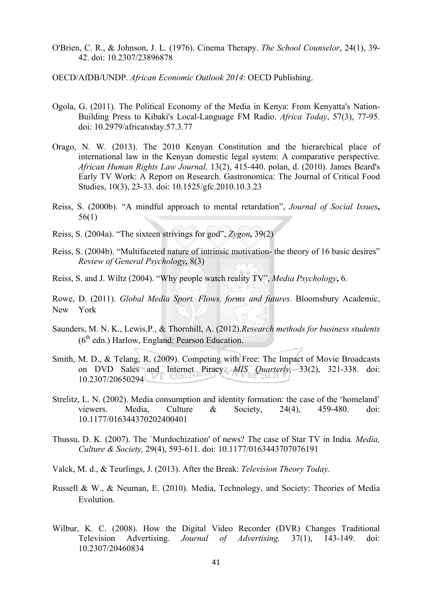- O'Brien, C. R., & Johnson, J. L. (1976). Cinema Therapy. *The School Counselor*, 24(1), 39- 42. doi: 10.2307/23896878
- OECD/AfDB/UNDP. *African Economic Outlook 2014*: OECD Publishing.
- Ogola, G. (2011). The Political Economy of the Media in Kenya: From Kenyatta's Nation-Building Press to Kibaki's Local-Language FM Radio. *Africa Today*, 57(3), 77-95. doi: 10.2979/africatoday.57.3.77
- Orago, N. W. (2013). The 2010 Kenyan Constitution and the hierarchical place of international law in the Kenyan domestic legal system: A comparative perspective. *African Human Rights Law Journal,* 13(2), 415-440. polan, d. (2010). James Beard's Early TV Work: A Report on Research. Gastronomica: The Journal of Critical Food Studies, 10(3), 23-33. doi: 10.1525/gfc.2010.10.3.23
- Reiss, S. (2000b). "A mindful approach to mental retardation", *Journal of Social Issues***,**  56(1)
- Reiss, S. (2004a). "The sixteen strivings for god", *Zygon,* 39(2)
- Reiss, S. (2004b). "Multifaceted nature of intrinsic motivation- the theory of 16 basic desires" *Review of General Psychology,* 8(3)
- Reiss, S. and J. Wiltz (2004). "Why people watch reality TV", *Media Psychology***,** 6.
- Rowe, D. (2011). *Global Media Sport. Flows, forms and futures.* Bloomsbury Academic, New York
- Saunders, M. N. K., Lewis,P., & Thornhill, A. (2012).*Research methods for business students*  $(6<sup>th</sup>$  edn.) Harlow, England: Pearson Education.
- Smith, M. D., & Telang, R. (2009). Competing with Free: The Impact of Movie Broadcasts on DVD Sales and Internet Piracy. *MIS Quarterly,* 33(2), 321-338. doi: 10.2307/20650294
- Strelitz, L. N. (2002). Media consumption and identity formation: the case of the 'homeland' viewers. Media, Culture & Society, 24(4), 459-480. doi: 10.1177/016344370202400401
- Thussu, D. K. (2007). The `Murdochization' of news? The case of Star TV in India. *Media, Culture & Society,* 29(4), 593-611. doi: 10.1177/0163443707076191
- Valck, M. d., & Teurlings, J. (2013). After the Break: *Television Theory Today*.
- Russell & W., & Neuman, E. (2010). Media, Technology, and Society: Theories of Media Evolution.
- Wilbur, K. C. (2008). How the Digital Video Recorder (DVR) Changes Traditional Television Advertising. *Journal of Advertising,* 37(1), 143-149. doi: 10.2307/20460834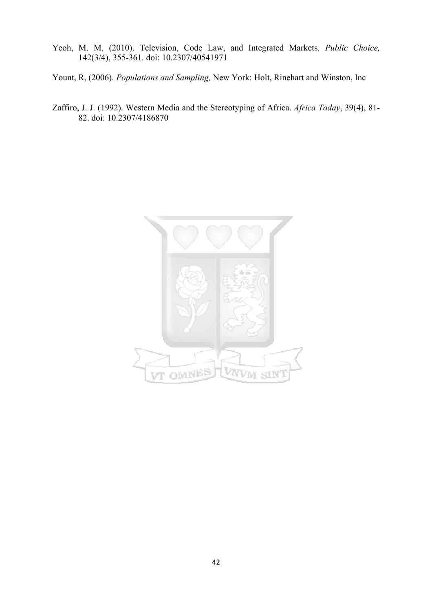- Yeoh, M. M. (2010). Television, Code Law, and Integrated Markets. *Public Choice,* 142(3/4), 355-361. doi: 10.2307/40541971
- Yount, R, (2006). *Populations and Sampling,* New York: Holt, Rinehart and Winston, Inc
- Zaffiro, J. J. (1992). Western Media and the Stereotyping of Africa. *Africa Today*, 39(4), 81- 82. doi: 10.2307/4186870

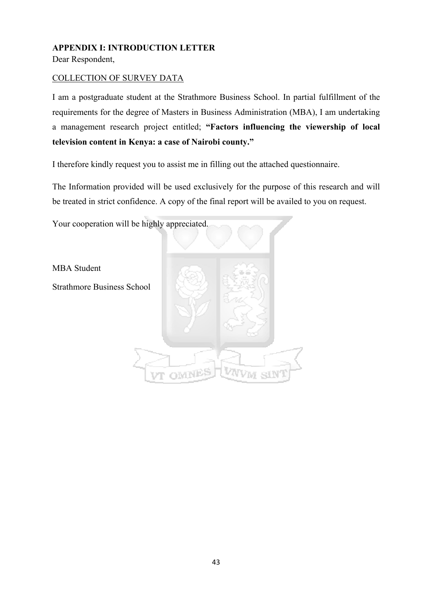# **APPENDIX I: INTRODUCTION LETTER**

Dear Respondent,

## COLLECTION OF SURVEY DATA

I am a postgraduate student at the Strathmore Business School. In partial fulfillment of the requirements for the degree of Masters in Business Administration (MBA), I am undertaking a management research project entitled; **"Factors influencing the viewership of local television content in Kenya: a case of Nairobi county."**

I therefore kindly request you to assist me in filling out the attached questionnaire.

The Information provided will be used exclusively for the purpose of this research and will be treated in strict confidence. A copy of the final report will be availed to you on request.

Your cooperation will be highly appreciated.

MBA Student

Strathmore Business School

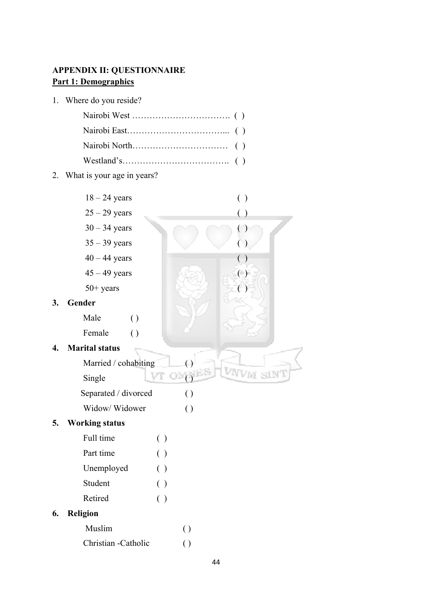# **APPENDIX II: QUESTIONNAIRE Part 1: Demographics**

1. Where do you reside?

Nairobi West ……………………………. ( ) Nairobi East……………………………... ( ) Nairobi North…………………………… ( ) Westland's………………………………. ( ) 2. What is your age in years? 18 – 24 years ( )  $25 - 29$  years ( )  $30 - 34$  years ( )  $35 - 39$  years ()  $40 - 44$  years ()  $45 - 49$  years ( )  $50+ \text{ years}$  () **3. Gender**  Male () Female () **4. Marital status**  Married / cohabiting  $\Box$ Single ( ) Separated / divorced ( ) Widow/ Widower () **5. Working status** Full time ( ) Part time ( ) Unemployed ( ) Student ( ) Retired ( ) **6. Religion** Muslim ( ) Christian -Catholic ( )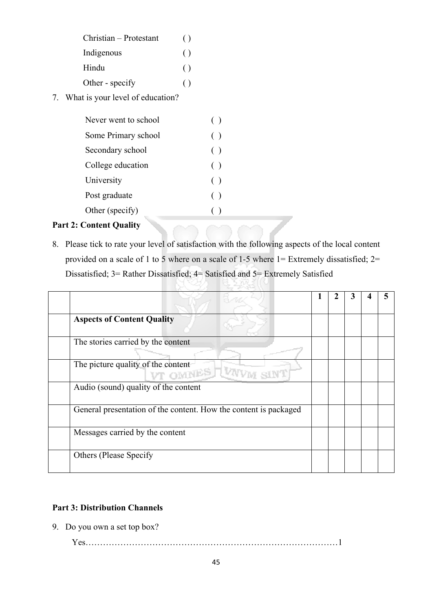| Christian - Protestant | $\left( \right)$ |
|------------------------|------------------|
| Indigenous             | $\left( \right)$ |
| Hindu                  | $\left( \right)$ |
| Other - specify        | ( )              |

7. What is your level of education?

| Never went to school | (     |
|----------------------|-------|
| Some Primary school  | $($ ) |
| Secondary school     | $($ ) |
| College education    | ( )   |
| University           | ( )   |
| Post graduate        | $($ ) |
| Other (specify)      |       |
|                      |       |

# **Part 2: Content Quality**

8. Please tick to rate your level of satisfaction with the following aspects of the local content provided on a scale of 1 to 5 where on a scale of 1-5 where 1= Extremely dissatisfied; 2= Dissatisfied; 3= Rather Dissatisfied; 4= Satisfied and 5= Extremely Satisfied

| <b>Aspects of Content Quality</b>                                |  |  |  |
|------------------------------------------------------------------|--|--|--|
| The stories carried by the content                               |  |  |  |
| The picture quality of the content<br>VT OMNES TWWW              |  |  |  |
| Audio (sound) quality of the content                             |  |  |  |
| General presentation of the content. How the content is packaged |  |  |  |
| Messages carried by the content                                  |  |  |  |
| <b>Others (Please Specify)</b>                                   |  |  |  |

## **Part 3: Distribution Channels**

9. Do you own a set top box?

Yes……………………………………………………………………………1